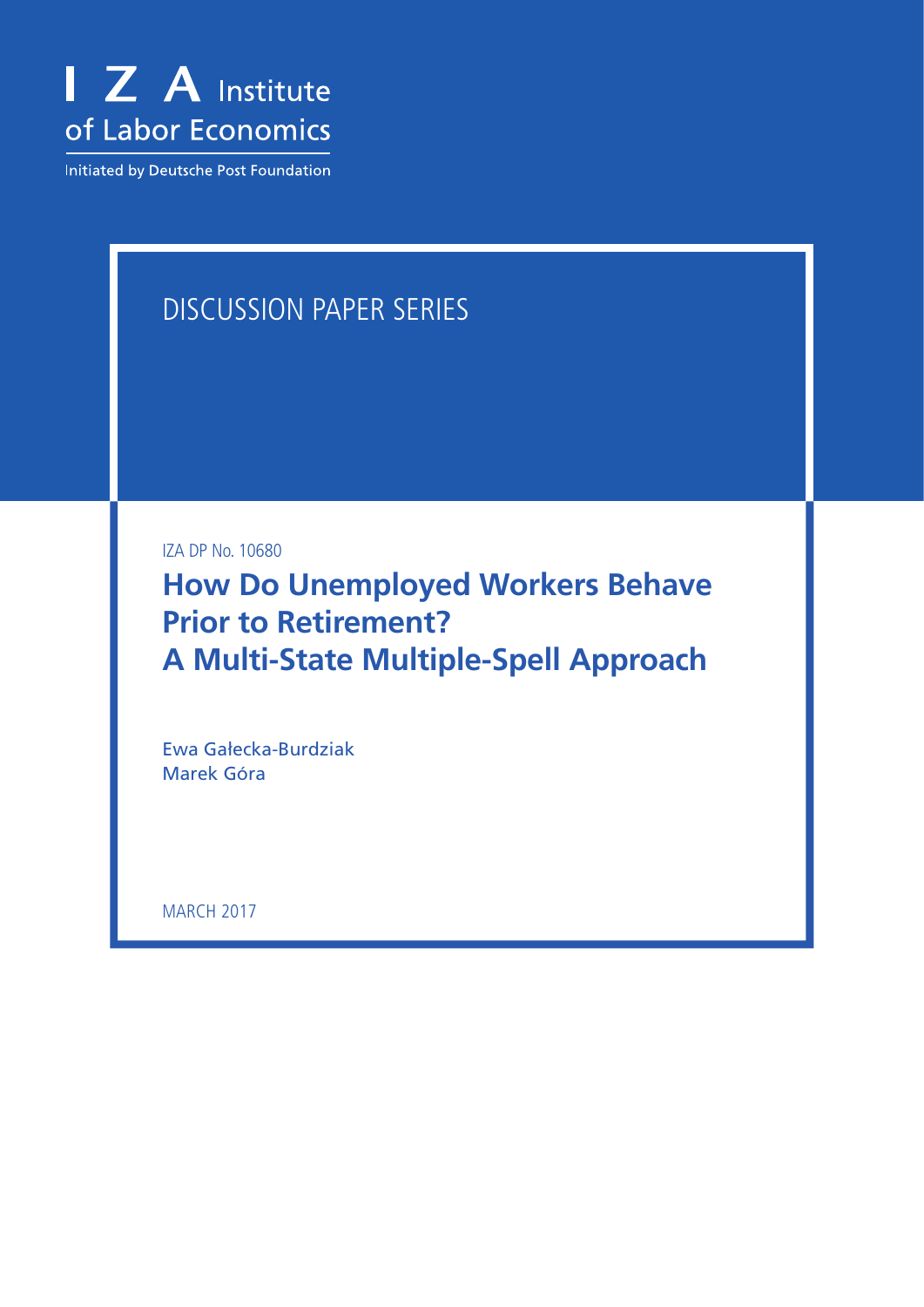

Initiated by Deutsche Post Foundation

## Discussion Paper Series

IZA DP No. 10680

**How Do Unemployed Workers Behave Prior to Retirement? A Multi-State Multiple-Spell Approach**

Ewa Gałecka-Burdziak Marek Góra

**MARCH 2017**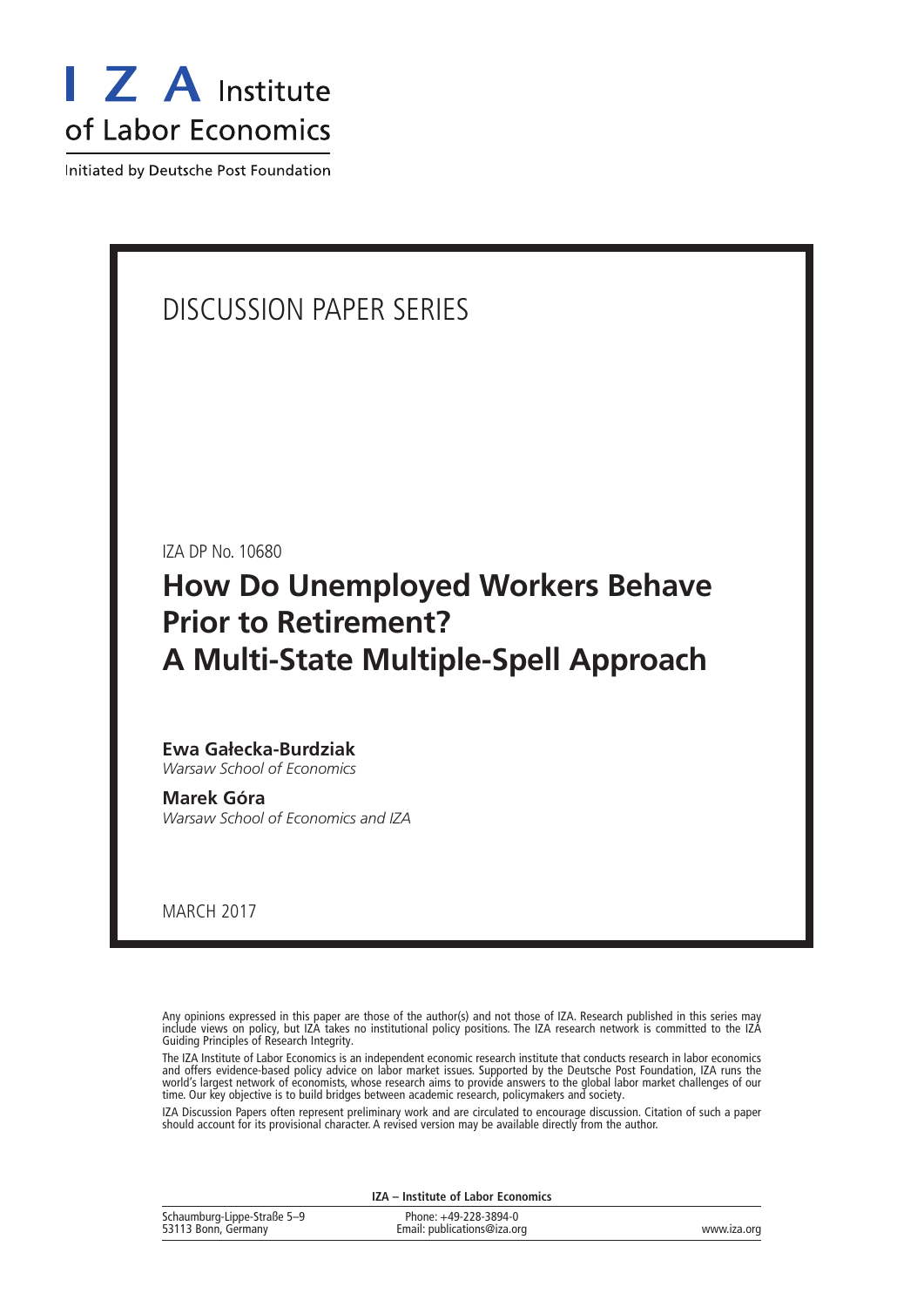

Initiated by Deutsche Post Foundation

### Discussion Paper Series

IZA DP No. 10680

### **How Do Unemployed Workers Behave Prior to Retirement? A Multi-State Multiple-Spell Approach**

#### **Ewa Gałecka-Burdziak** *Warsaw School of Economics*

**Marek Góra**

*Warsaw School of Economics and IZA*

march 2017

Any opinions expressed in this paper are those of the author(s) and not those of IZA. Research published in this series may include views on policy, but IZA takes no institutional policy positions. The IZA research network is committed to the IZA Guiding Principles of Research Integrity.

The IZA Institute of Labor Economics is an independent economic research institute that conducts research in labor economics and offers evidence-based policy advice on labor market issues. Supported by the Deutsche Post Foundation, IZA runs the world's largest network of economists, whose research aims to provide answers to the global labor market challenges of our time. Our key objective is to build bridges between academic research, policymakers and society.

IZA Discussion Papers often represent preliminary work and are circulated to encourage discussion. Citation of such a paper should account for its provisional character. A revised version may be available directly from the author.

| IZA – Institute of Labor Economics                 |                                                      |             |  |  |
|----------------------------------------------------|------------------------------------------------------|-------------|--|--|
| Schaumburg-Lippe-Straße 5-9<br>53113 Bonn, Germany | Phone: +49-228-3894-0<br>Email: publications@iza.org | www.iza.org |  |  |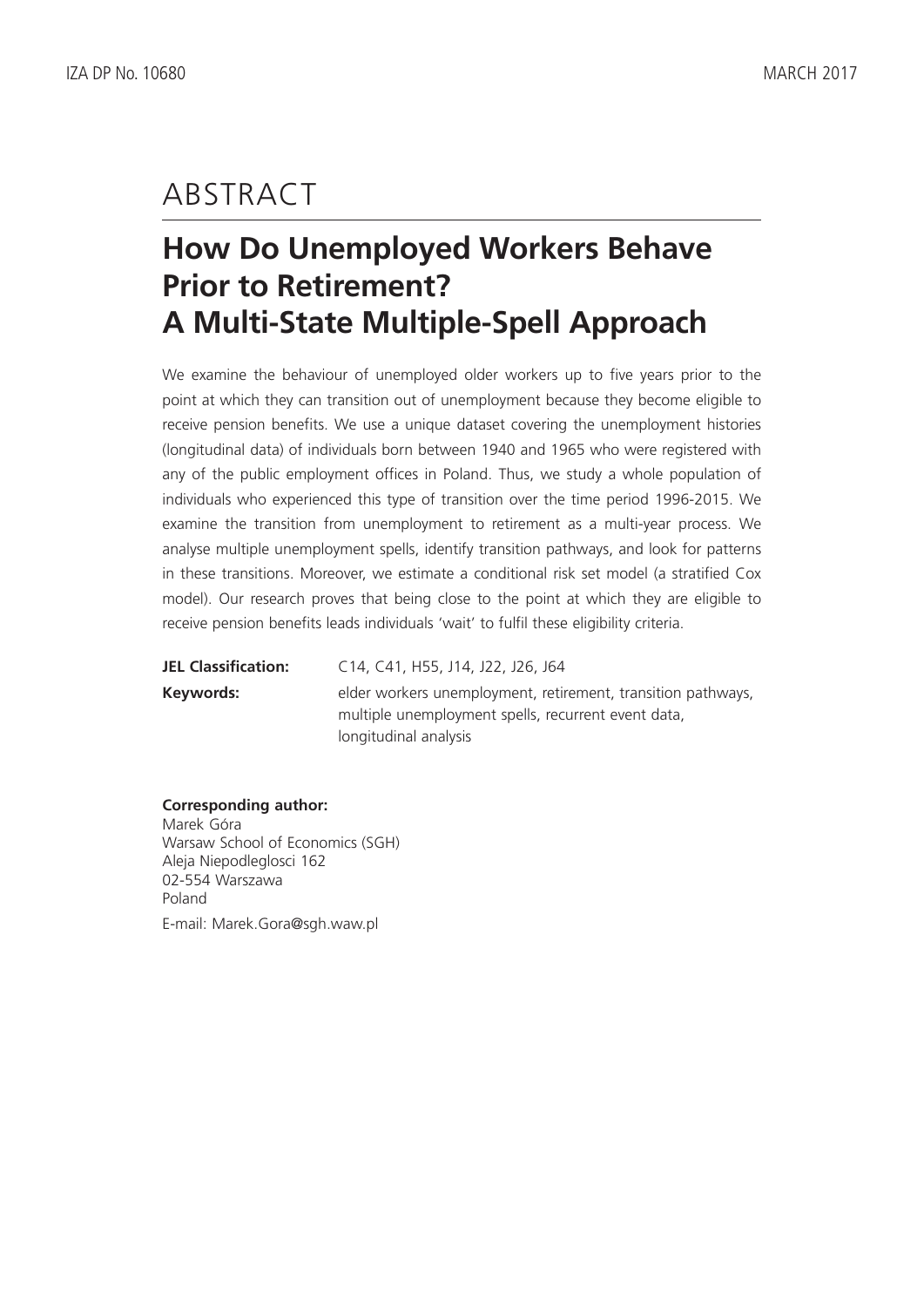### **ABSTRACT**

# **How Do Unemployed Workers Behave Prior to Retirement? A Multi-State Multiple-Spell Approach**

We examine the behaviour of unemployed older workers up to five years prior to the point at which they can transition out of unemployment because they become eligible to receive pension benefits. We use a unique dataset covering the unemployment histories (longitudinal data) of individuals born between 1940 and 1965 who were registered with any of the public employment offices in Poland. Thus, we study a whole population of individuals who experienced this type of transition over the time period 1996-2015. We examine the transition from unemployment to retirement as a multi-year process. We analyse multiple unemployment spells, identify transition pathways, and look for patterns in these transitions. Moreover, we estimate a conditional risk set model (a stratified Cox model). Our research proves that being close to the point at which they are eligible to receive pension benefits leads individuals 'wait' to fulfil these eligibility criteria.

| <b>JEL Classification:</b> | C14, C41, H55, J14, J22, J26, J64                            |
|----------------------------|--------------------------------------------------------------|
| Keywords:                  | elder workers unemployment, retirement, transition pathways, |
|                            | multiple unemployment spells, recurrent event data,          |
|                            | longitudinal analysis                                        |

#### **Corresponding author:**

Marek Góra Warsaw School of Economics (SGH) Aleja Niepodleglosci 162 02-554 Warszawa Poland E-mail: Marek.Gora@sgh.waw.pl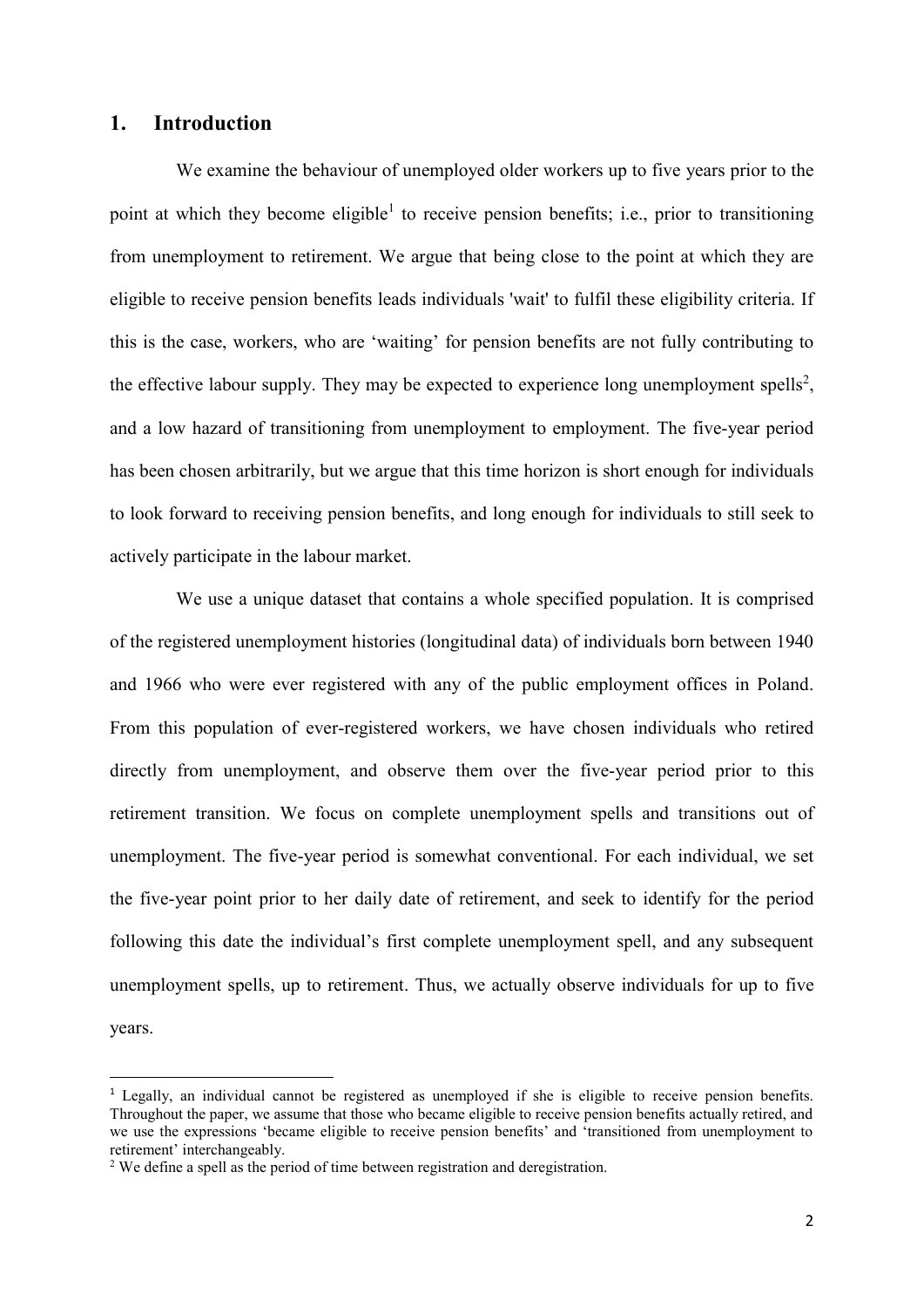### **1. Introduction**

We examine the behaviour of unemployed older workers up to five years prior to the point at which they become eligible<sup>1</sup> to receive pension benefits; i.e., prior to transitioning from unemployment to retirement. We argue that being close to the point at which they are eligible to receive pension benefits leads individuals 'wait' to fulfil these eligibility criteria. If this is the case, workers, who are 'waiting' for pension benefits are not fully contributing to the effective labour supply. They may be expected to experience long unemployment spells<sup>2</sup>, and a low hazard of transitioning from unemployment to employment. The five-year period has been chosen arbitrarily, but we argue that this time horizon is short enough for individuals to look forward to receiving pension benefits, and long enough for individuals to still seek to actively participate in the labour market.

We use a unique dataset that contains a whole specified population. It is comprised of the registered unemployment histories (longitudinal data) of individuals born between 1940 and 1966 who were ever registered with any of the public employment offices in Poland. From this population of ever-registered workers, we have chosen individuals who retired directly from unemployment, and observe them over the five-year period prior to this retirement transition. We focus on complete unemployment spells and transitions out of unemployment. The five-year period is somewhat conventional. For each individual, we set the five-year point prior to her daily date of retirement, and seek to identify for the period following this date the individual's first complete unemployment spell, and any subsequent unemployment spells, up to retirement. Thus, we actually observe individuals for up to five years.

 $\overline{a}$ 

<sup>&</sup>lt;sup>1</sup> Legally, an individual cannot be registered as unemployed if she is eligible to receive pension benefits. Throughout the paper, we assume that those who became eligible to receive pension benefits actually retired, and we use the expressions 'became eligible to receive pension benefits' and 'transitioned from unemployment to retirement' interchangeably.

<sup>&</sup>lt;sup>2</sup> We define a spell as the period of time between registration and deregistration.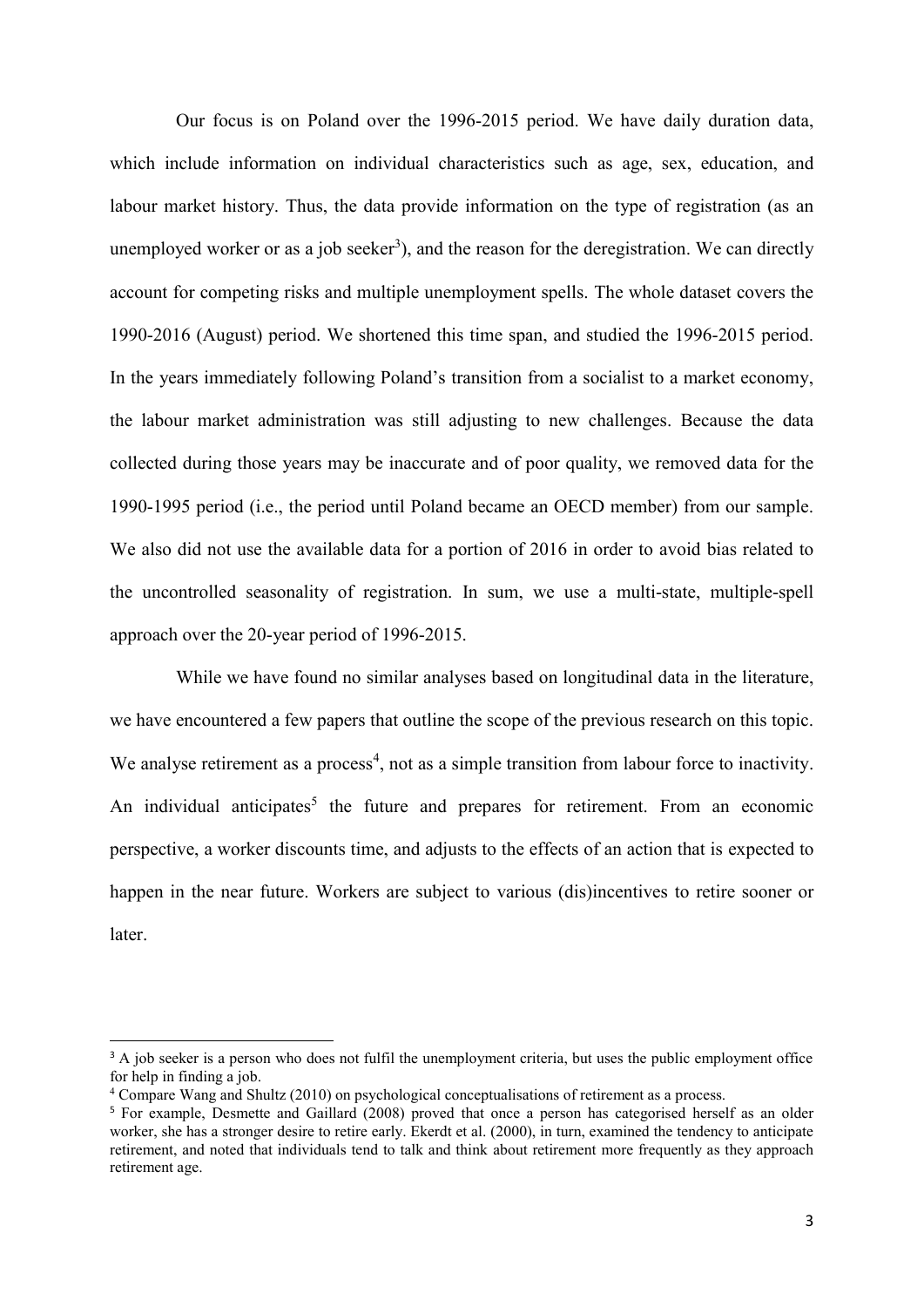Our focus is on Poland over the 1996-2015 period. We have daily duration data, which include information on individual characteristics such as age, sex, education, and labour market history. Thus, the data provide information on the type of registration (as an unemployed worker or as a job seeker<sup>3</sup>), and the reason for the deregistration. We can directly account for competing risks and multiple unemployment spells. The whole dataset covers the 1990-2016 (August) period. We shortened this time span, and studied the 1996-2015 period. In the years immediately following Poland's transition from a socialist to a market economy, the labour market administration was still adjusting to new challenges. Because the data collected during those years may be inaccurate and of poor quality, we removed data for the 1990-1995 period (i.e., the period until Poland became an OECD member) from our sample. We also did not use the available data for a portion of 2016 in order to avoid bias related to the uncontrolled seasonality of registration. In sum, we use a multi-state, multiple-spell approach over the 20-year period of 1996-2015.

While we have found no similar analyses based on longitudinal data in the literature, we have encountered a few papers that outline the scope of the previous research on this topic. We analyse retirement as a process<sup>4</sup>, not as a simple transition from labour force to inactivity. An individual anticipates<sup>5</sup> the future and prepares for retirement. From an economic perspective, a worker discounts time, and adjusts to the effects of an action that is expected to happen in the near future. Workers are subject to various (dis)incentives to retire sooner or **later** 

**.** 

<sup>&</sup>lt;sup>3</sup> A job seeker is a person who does not fulfil the unemployment criteria, but uses the public employment office for help in finding a job.

<sup>4</sup> Compare Wang and Shultz (2010) on psychological conceptualisations of retirement as a process.

<sup>5</sup> For example, Desmette and Gaillard (2008) proved that once a person has categorised herself as an older worker, she has a stronger desire to retire early. Ekerdt et al. (2000), in turn, examined the tendency to anticipate retirement, and noted that individuals tend to talk and think about retirement more frequently as they approach retirement age.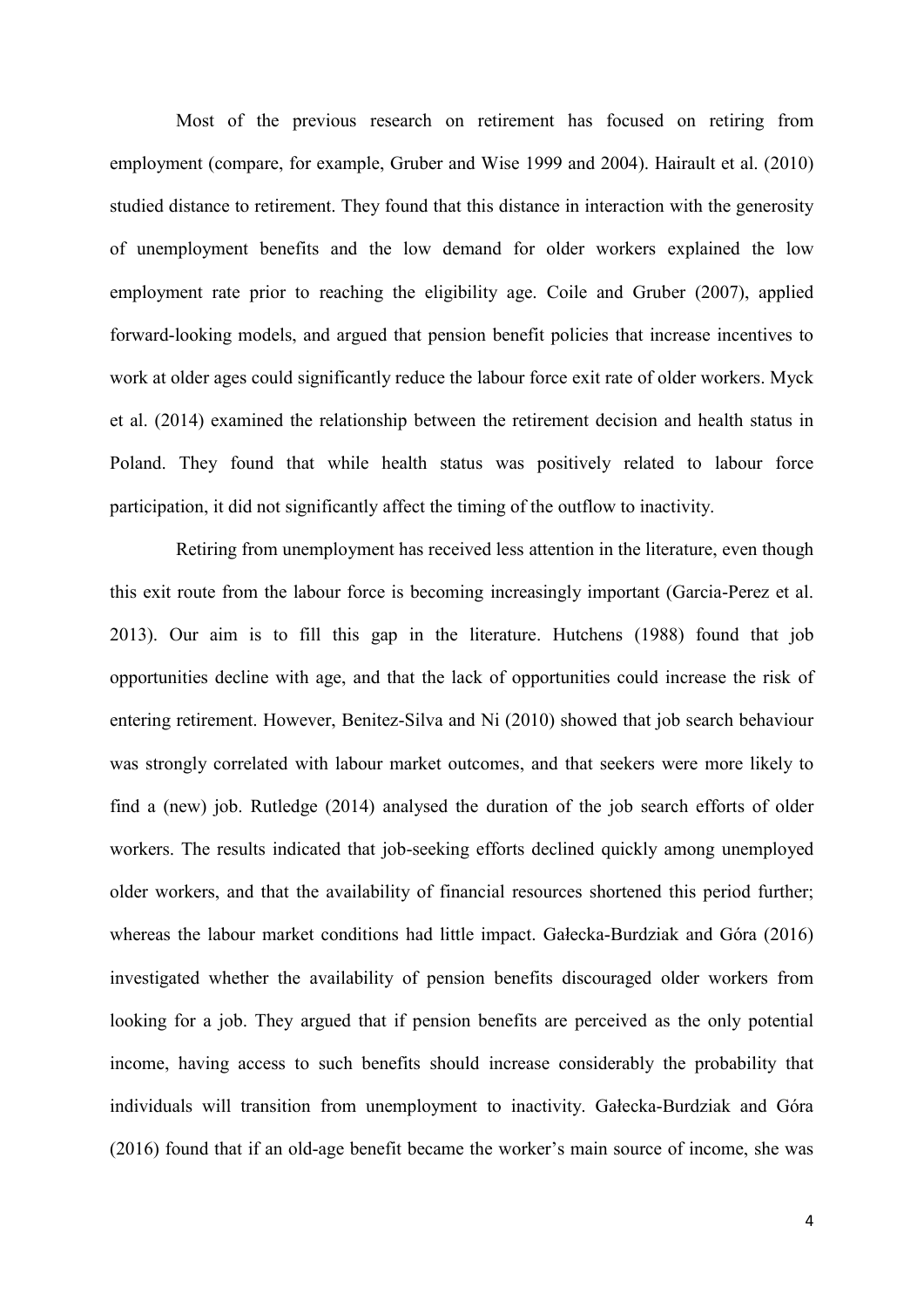Most of the previous research on retirement has focused on retiring from employment (compare, for example, Gruber and Wise 1999 and 2004). Hairault et al. (2010) studied distance to retirement. They found that this distance in interaction with the generosity of unemployment benefits and the low demand for older workers explained the low employment rate prior to reaching the eligibility age. Coile and Gruber (2007), applied forward-looking models, and argued that pension benefit policies that increase incentives to work at older ages could significantly reduce the labour force exit rate of older workers. Myck et al. (2014) examined the relationship between the retirement decision and health status in Poland. They found that while health status was positively related to labour force participation, it did not significantly affect the timing of the outflow to inactivity.

Retiring from unemployment has received less attention in the literature, even though this exit route from the labour force is becoming increasingly important (Garcia-Perez et al. 2013). Our aim is to fill this gap in the literature. Hutchens (1988) found that job opportunities decline with age, and that the lack of opportunities could increase the risk of entering retirement. However, Benitez-Silva and Ni (2010) showed that job search behaviour was strongly correlated with labour market outcomes, and that seekers were more likely to find a (new) job. Rutledge (2014) analysed the duration of the job search efforts of older workers. The results indicated that job-seeking efforts declined quickly among unemployed older workers, and that the availability of financial resources shortened this period further; whereas the labour market conditions had little impact. Gałecka-Burdziak and Góra (2016) investigated whether the availability of pension benefits discouraged older workers from looking for a job. They argued that if pension benefits are perceived as the only potential income, having access to such benefits should increase considerably the probability that individuals will transition from unemployment to inactivity. Gałecka-Burdziak and Góra (2016) found that if an old-age benefit became the worker's main source of income, she was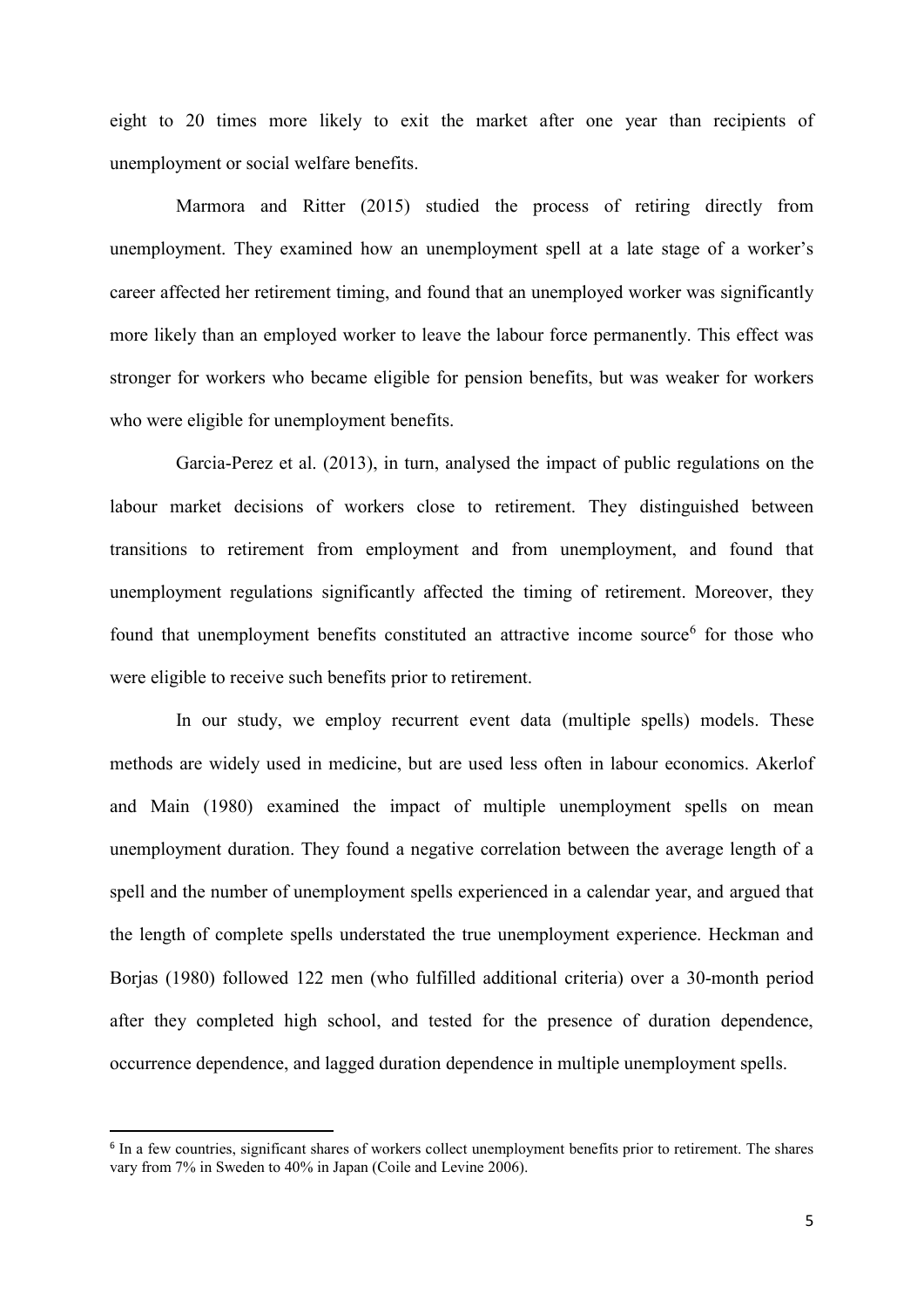eight to 20 times more likely to exit the market after one year than recipients of unemployment or social welfare benefits.

Marmora and Ritter (2015) studied the process of retiring directly from unemployment. They examined how an unemployment spell at a late stage of a worker's career affected her retirement timing, and found that an unemployed worker was significantly more likely than an employed worker to leave the labour force permanently. This effect was stronger for workers who became eligible for pension benefits, but was weaker for workers who were eligible for unemployment benefits.

Garcia-Perez et al. (2013), in turn, analysed the impact of public regulations on the labour market decisions of workers close to retirement. They distinguished between transitions to retirement from employment and from unemployment, and found that unemployment regulations significantly affected the timing of retirement. Moreover, they found that unemployment benefits constituted an attractive income source<sup>6</sup> for those who were eligible to receive such benefits prior to retirement.

In our study, we employ recurrent event data (multiple spells) models. These methods are widely used in medicine, but are used less often in labour economics. Akerlof and Main (1980) examined the impact of multiple unemployment spells on mean unemployment duration. They found a negative correlation between the average length of a spell and the number of unemployment spells experienced in a calendar year, and argued that the length of complete spells understated the true unemployment experience. Heckman and Borjas (1980) followed 122 men (who fulfilled additional criteria) over a 30-month period after they completed high school, and tested for the presence of duration dependence, occurrence dependence, and lagged duration dependence in multiple unemployment spells.

1

<sup>&</sup>lt;sup>6</sup> In a few countries, significant shares of workers collect unemployment benefits prior to retirement. The shares vary from 7% in Sweden to 40% in Japan (Coile and Levine 2006).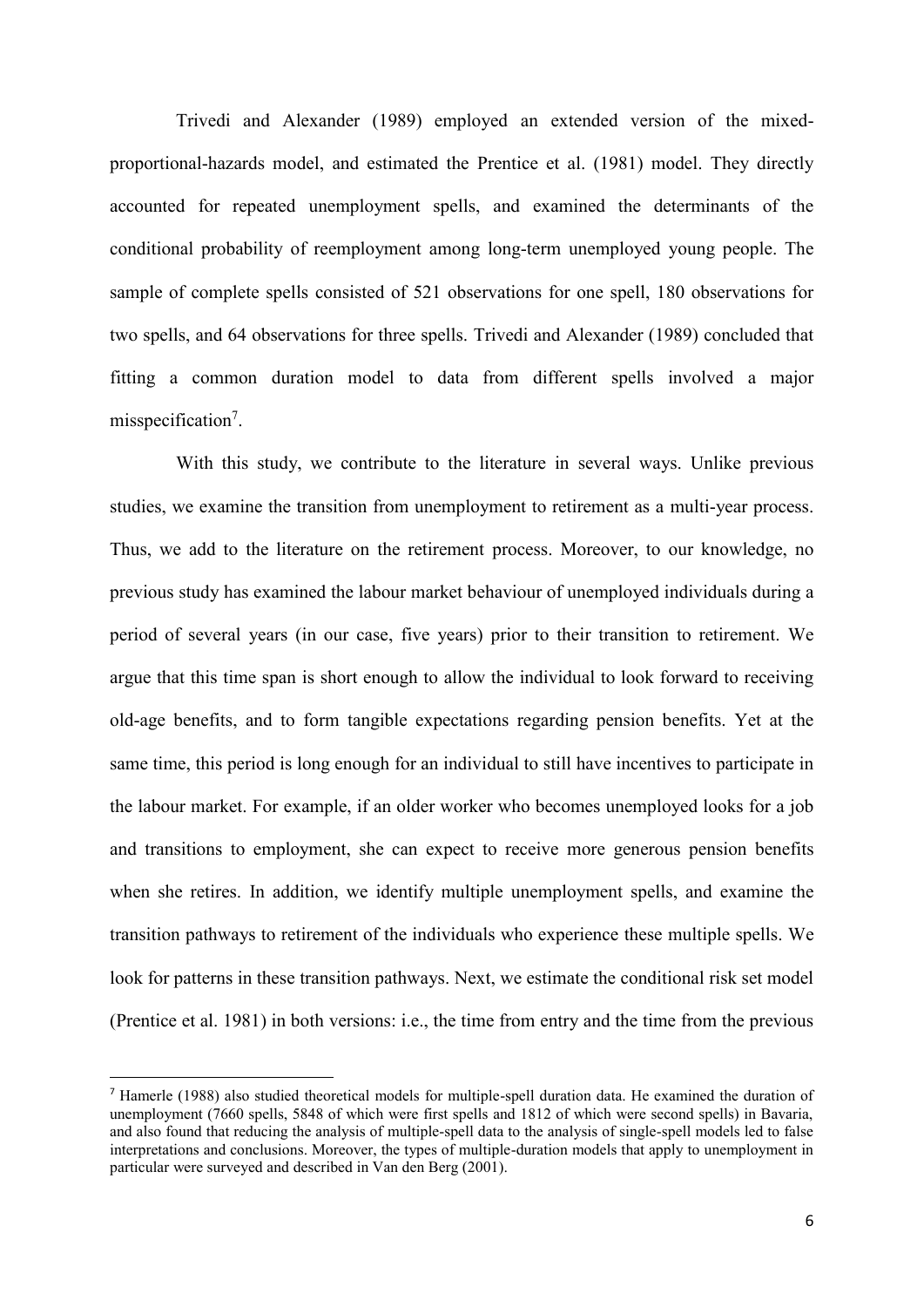Trivedi and Alexander (1989) employed an extended version of the mixedproportional-hazards model, and estimated the Prentice et al. (1981) model. They directly accounted for repeated unemployment spells, and examined the determinants of the conditional probability of reemployment among long-term unemployed young people. The sample of complete spells consisted of 521 observations for one spell, 180 observations for two spells, and 64 observations for three spells. Trivedi and Alexander (1989) concluded that fitting a common duration model to data from different spells involved a major misspecification<sup>7</sup>.

With this study, we contribute to the literature in several ways. Unlike previous studies, we examine the transition from unemployment to retirement as a multi-year process. Thus, we add to the literature on the retirement process. Moreover, to our knowledge, no previous study has examined the labour market behaviour of unemployed individuals during a period of several years (in our case, five years) prior to their transition to retirement. We argue that this time span is short enough to allow the individual to look forward to receiving old-age benefits, and to form tangible expectations regarding pension benefits. Yet at the same time, this period is long enough for an individual to still have incentives to participate in the labour market. For example, if an older worker who becomes unemployed looks for a job and transitions to employment, she can expect to receive more generous pension benefits when she retires. In addition, we identify multiple unemployment spells, and examine the transition pathways to retirement of the individuals who experience these multiple spells. We look for patterns in these transition pathways. Next, we estimate the conditional risk set model (Prentice et al. 1981) in both versions: i.e., the time from entry and the time from the previous

 $\overline{a}$ 

<sup>7</sup> Hamerle (1988) also studied theoretical models for multiple-spell duration data. He examined the duration of unemployment (7660 spells, 5848 of which were first spells and 1812 of which were second spells) in Bavaria, and also found that reducing the analysis of multiple-spell data to the analysis of single-spell models led to false interpretations and conclusions. Moreover, the types of multiple-duration models that apply to unemployment in particular were surveyed and described in Van den Berg (2001).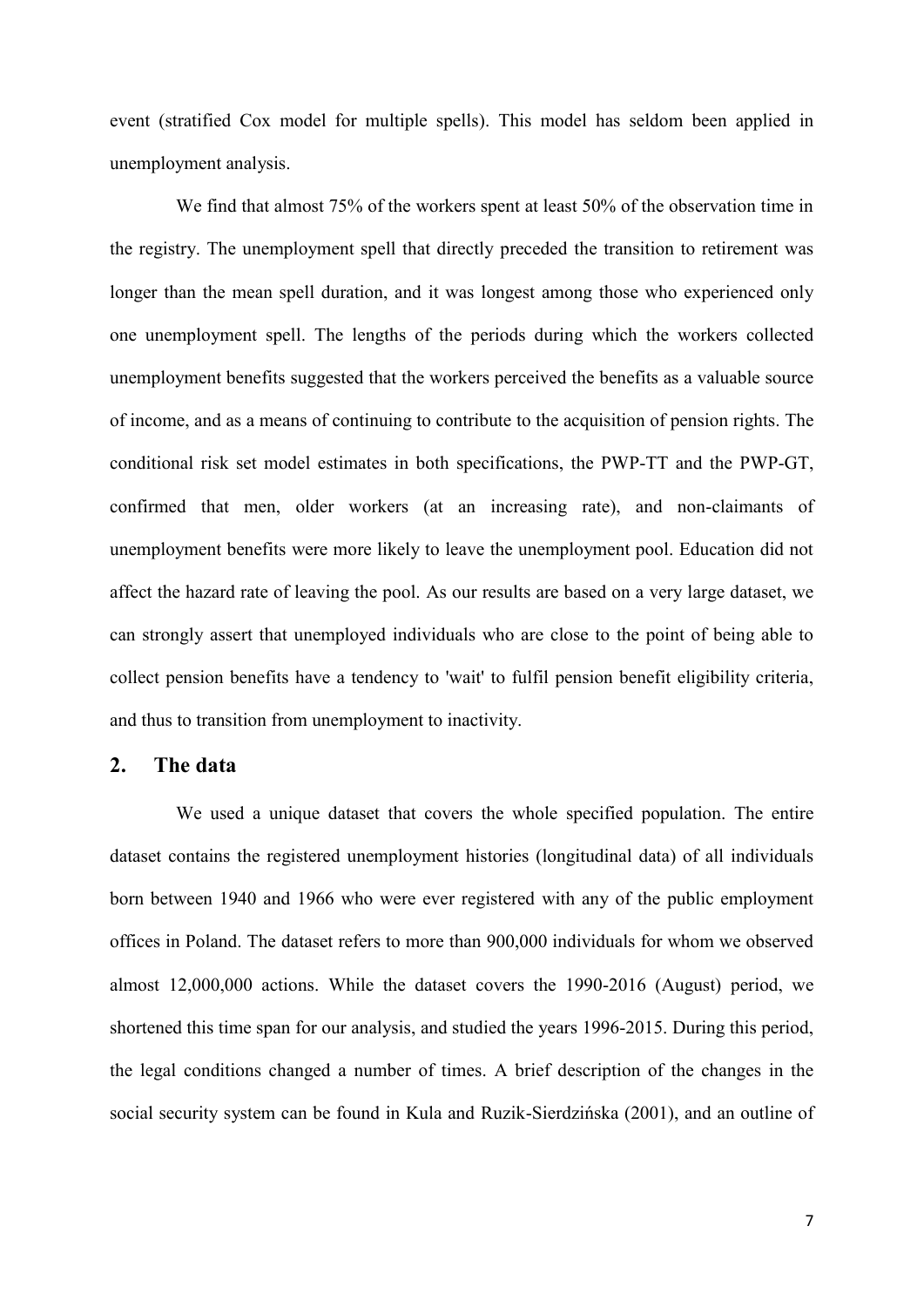event (stratified Cox model for multiple spells). This model has seldom been applied in unemployment analysis.

We find that almost 75% of the workers spent at least 50% of the observation time in the registry. The unemployment spell that directly preceded the transition to retirement was longer than the mean spell duration, and it was longest among those who experienced only one unemployment spell. The lengths of the periods during which the workers collected unemployment benefits suggested that the workers perceived the benefits as a valuable source of income, and as a means of continuing to contribute to the acquisition of pension rights. The conditional risk set model estimates in both specifications, the PWP-TT and the PWP-GT, confirmed that men, older workers (at an increasing rate), and non-claimants of unemployment benefits were more likely to leave the unemployment pool. Education did not affect the hazard rate of leaving the pool. As our results are based on a very large dataset, we can strongly assert that unemployed individuals who are close to the point of being able to collect pension benefits have a tendency to 'wait' to fulfil pension benefit eligibility criteria, and thus to transition from unemployment to inactivity.

#### **2. The data**

We used a unique dataset that covers the whole specified population. The entire dataset contains the registered unemployment histories (longitudinal data) of all individuals born between 1940 and 1966 who were ever registered with any of the public employment offices in Poland. The dataset refers to more than 900,000 individuals for whom we observed almost 12,000,000 actions. While the dataset covers the 1990-2016 (August) period, we shortened this time span for our analysis, and studied the years 1996-2015. During this period, the legal conditions changed a number of times. A brief description of the changes in the social security system can be found in Kula and Ruzik-Sierdzińska (2001), and an outline of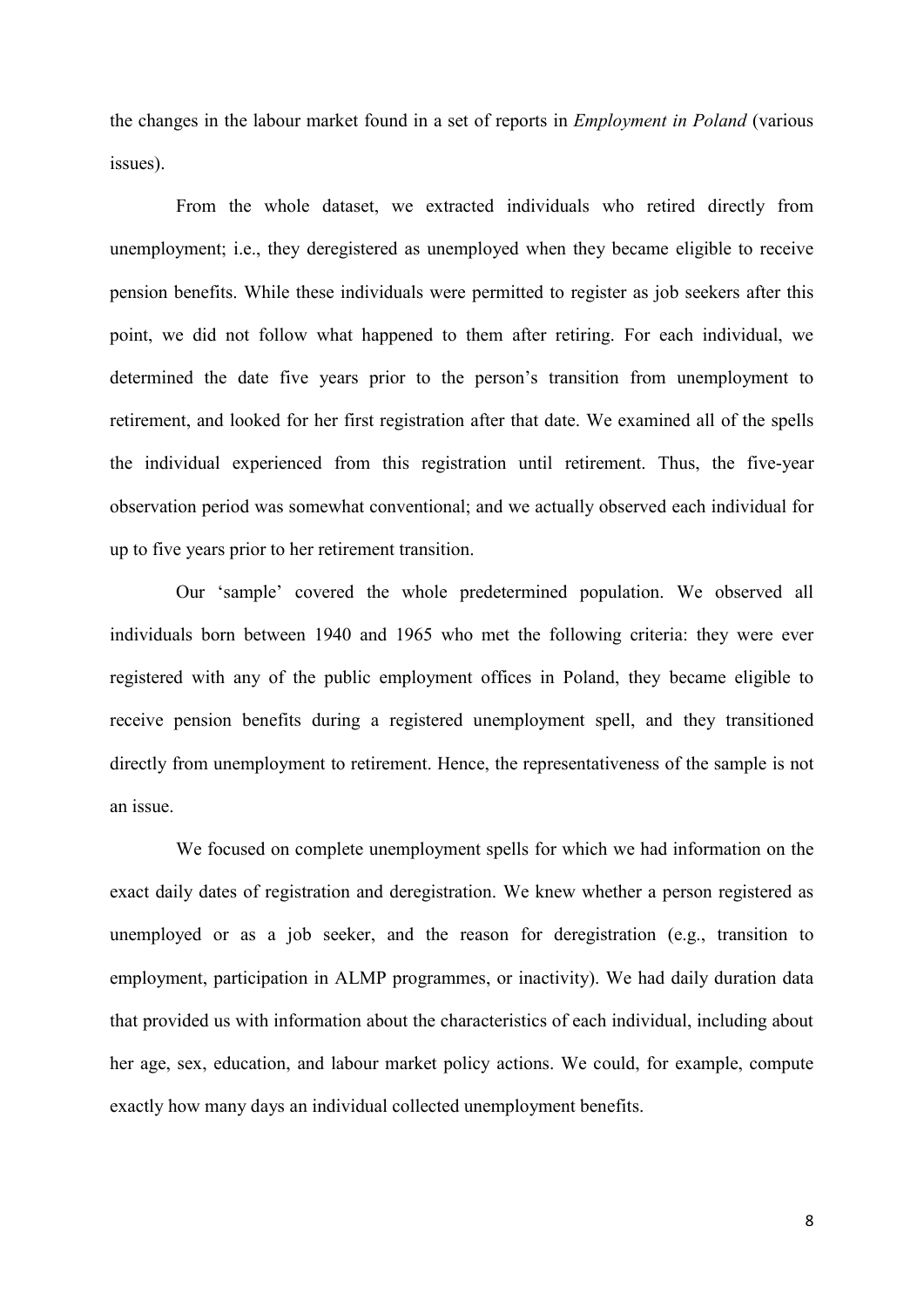the changes in the labour market found in a set of reports in *Employment in Poland* (various issues).

From the whole dataset, we extracted individuals who retired directly from unemployment; i.e., they deregistered as unemployed when they became eligible to receive pension benefits. While these individuals were permitted to register as job seekers after this point, we did not follow what happened to them after retiring. For each individual, we determined the date five years prior to the person's transition from unemployment to retirement, and looked for her first registration after that date. We examined all of the spells the individual experienced from this registration until retirement. Thus, the five-year observation period was somewhat conventional; and we actually observed each individual for up to five years prior to her retirement transition.

Our 'sample' covered the whole predetermined population. We observed all individuals born between 1940 and 1965 who met the following criteria: they were ever registered with any of the public employment offices in Poland, they became eligible to receive pension benefits during a registered unemployment spell, and they transitioned directly from unemployment to retirement. Hence, the representativeness of the sample is not an issue.

We focused on complete unemployment spells for which we had information on the exact daily dates of registration and deregistration. We knew whether a person registered as unemployed or as a job seeker, and the reason for deregistration (e.g., transition to employment, participation in ALMP programmes, or inactivity). We had daily duration data that provided us with information about the characteristics of each individual, including about her age, sex, education, and labour market policy actions. We could, for example, compute exactly how many days an individual collected unemployment benefits.

8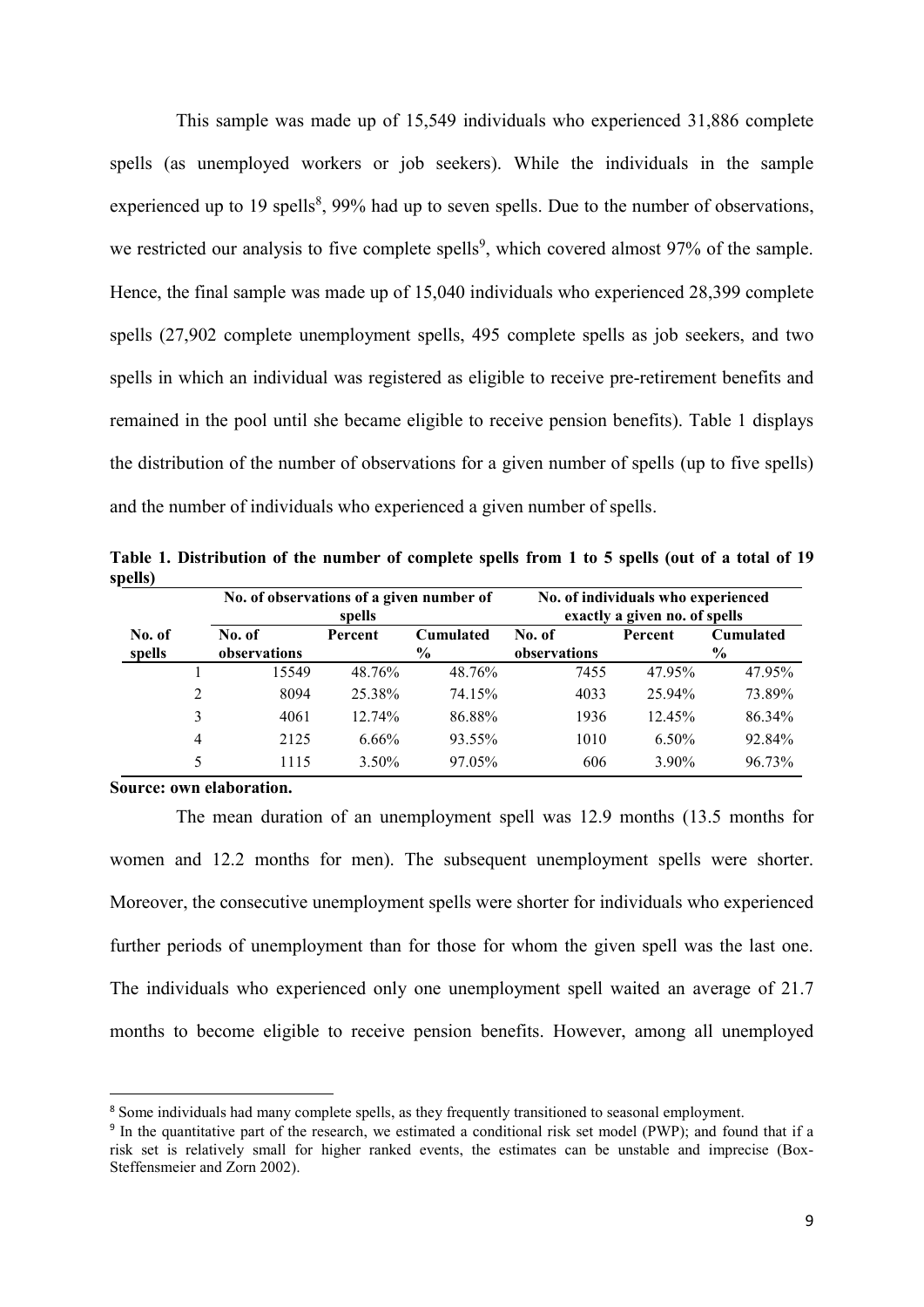This sample was made up of 15,549 individuals who experienced 31,886 complete spells (as unemployed workers or job seekers). While the individuals in the sample experienced up to 19 spells $\delta$ , 99% had up to seven spells. Due to the number of observations, we restricted our analysis to five complete spells<sup>9</sup>, which covered almost  $97%$  of the sample. Hence, the final sample was made up of 15,040 individuals who experienced 28,399 complete spells (27,902 complete unemployment spells, 495 complete spells as job seekers, and two spells in which an individual was registered as eligible to receive pre-retirement benefits and remained in the pool until she became eligible to receive pension benefits). Table 1 displays the distribution of the number of observations for a given number of spells (up to five spells) and the number of individuals who experienced a given number of spells.

**Table 1. Distribution of the number of complete spells from 1 to 5 spells (out of a total of 19 spells)**

|                  |                | No. of observations of a given number of<br>spells              |        |                        | No. of individuals who experienced<br>exactly a given no. of spells |                                              |        |
|------------------|----------------|-----------------------------------------------------------------|--------|------------------------|---------------------------------------------------------------------|----------------------------------------------|--------|
| No. of<br>spells |                | Cumulated<br>No. of<br>Percent<br>$\frac{6}{9}$<br>observations |        | No. of<br>observations |                                                                     | Percent<br><b>Cumulated</b><br>$\frac{0}{0}$ |        |
|                  |                | 15549                                                           | 48.76% | 48.76%                 | 7455                                                                | 47.95%                                       | 47.95% |
|                  | 2              | 8094                                                            | 25.38% | 74.15%                 | 4033                                                                | 25.94%                                       | 73.89% |
|                  | 3              | 4061                                                            | 12.74% | 86.88%                 | 1936                                                                | 12.45%                                       | 86.34% |
|                  | $\overline{4}$ | 2125                                                            | 6.66%  | 93.55%                 | 1010                                                                | $6.50\%$                                     | 92.84% |
|                  | 5              | 1115                                                            | 3.50%  | 97.05%                 | 606                                                                 | $3.90\%$                                     | 96.73% |

**Source: own elaboration.**

1

The mean duration of an unemployment spell was 12.9 months (13.5 months for women and 12.2 months for men). The subsequent unemployment spells were shorter. Moreover, the consecutive unemployment spells were shorter for individuals who experienced further periods of unemployment than for those for whom the given spell was the last one. The individuals who experienced only one unemployment spell waited an average of 21.7 months to become eligible to receive pension benefits. However, among all unemployed

<sup>&</sup>lt;sup>8</sup> Some individuals had many complete spells, as they frequently transitioned to seasonal employment.

<sup>&</sup>lt;sup>9</sup> In the quantitative part of the research, we estimated a conditional risk set model (PWP); and found that if a risk set is relatively small for higher ranked events, the estimates can be unstable and imprecise (Box-Steffensmeier and Zorn 2002).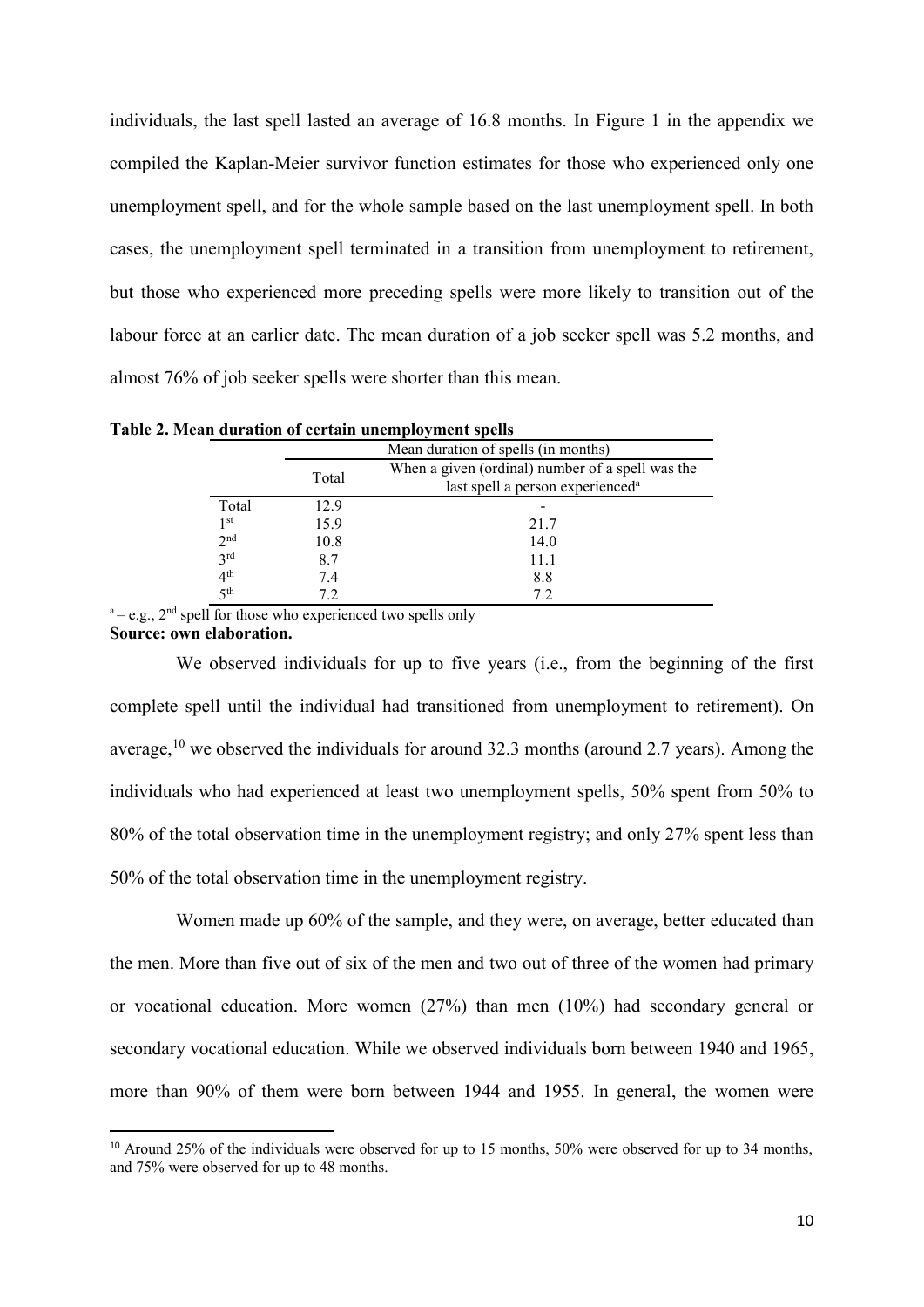individuals, the last spell lasted an average of 16.8 months. In Figure 1 in the appendix we compiled the Kaplan-Meier survivor function estimates for those who experienced only one unemployment spell, and for the whole sample based on the last unemployment spell. In both cases, the unemployment spell terminated in a transition from unemployment to retirement, but those who experienced more preceding spells were more likely to transition out of the labour force at an earlier date. The mean duration of a job seeker spell was 5.2 months, and almost 76% of job seeker spells were shorter than this mean.

|                 |       | Mean duration of spells (in months)                                                              |  |  |
|-----------------|-------|--------------------------------------------------------------------------------------------------|--|--|
|                 | Total | When a given (ordinal) number of a spell was the<br>last spell a person experienced <sup>a</sup> |  |  |
| Total           | 12.9  |                                                                                                  |  |  |
| 1 <sup>st</sup> | 15.9  | 21.7                                                                                             |  |  |
| 2 <sup>nd</sup> | 10.8  | 14.0                                                                                             |  |  |
| 3 <sup>rd</sup> | 8.7   | 11.1                                                                                             |  |  |
| 4 <sup>th</sup> | 7.4   | 8.8                                                                                              |  |  |
| 5 <sup>th</sup> | 7.2   | 72                                                                                               |  |  |

**Table 2. Mean duration of certain unemployment spells**

 $a - e.g., 2<sup>nd</sup>$  spell for those who experienced two spells only **Source: own elaboration.**

1

We observed individuals for up to five years (i.e., from the beginning of the first complete spell until the individual had transitioned from unemployment to retirement). On average,  $10$  we observed the individuals for around 32.3 months (around 2.7 years). Among the individuals who had experienced at least two unemployment spells, 50% spent from 50% to 80% of the total observation time in the unemployment registry; and only 27% spent less than 50% of the total observation time in the unemployment registry.

Women made up 60% of the sample, and they were, on average, better educated than the men. More than five out of six of the men and two out of three of the women had primary or vocational education. More women (27%) than men (10%) had secondary general or secondary vocational education. While we observed individuals born between 1940 and 1965, more than 90% of them were born between 1944 and 1955. In general, the women were

 $10$  Around 25% of the individuals were observed for up to 15 months, 50% were observed for up to 34 months, and 75% were observed for up to 48 months.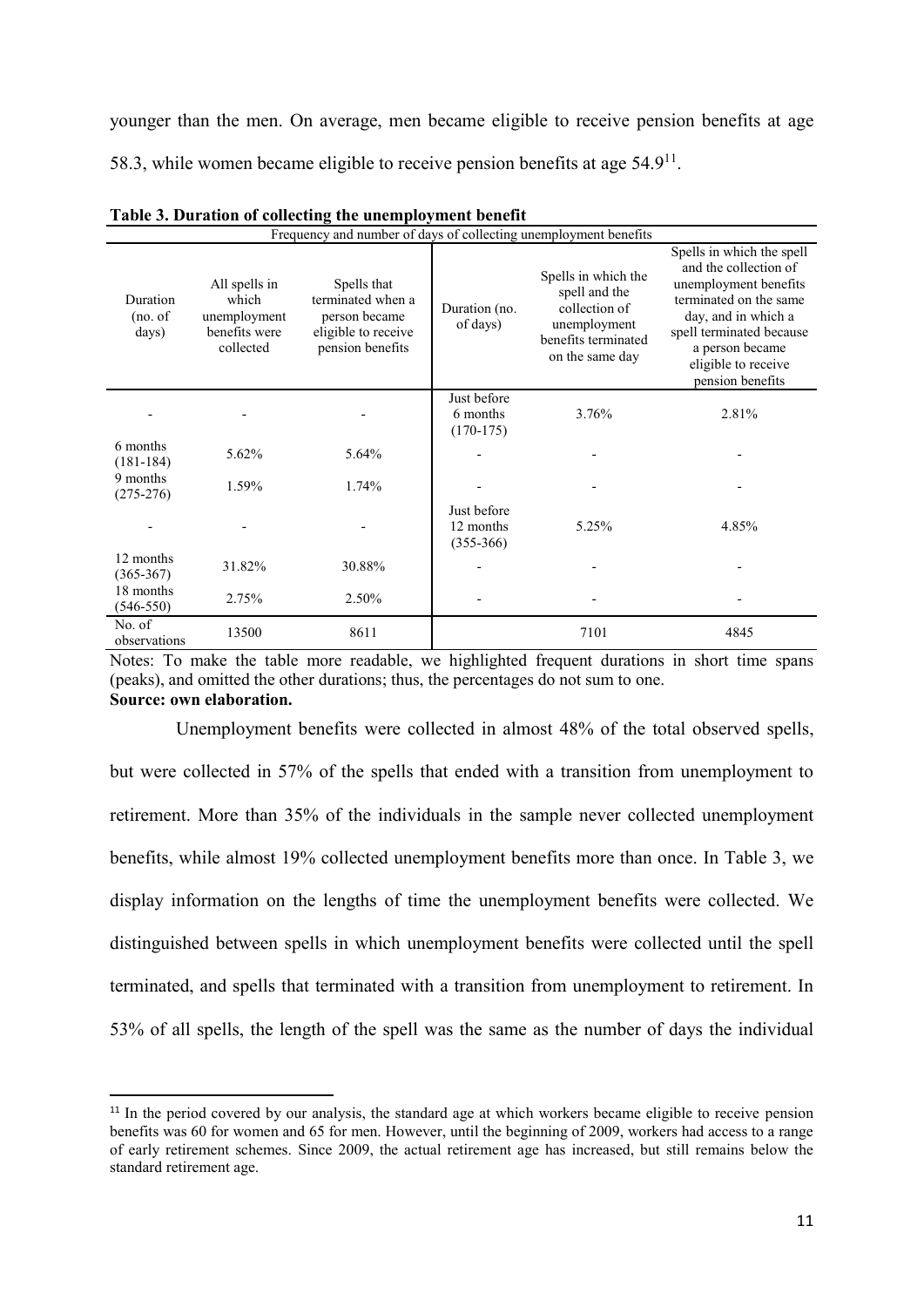younger than the men. On average, men became eligible to receive pension benefits at age 58.3, while women became eligible to receive pension benefits at age  $54.9<sup>11</sup>$ .

|                              | Frequency and number of days of collecting unemployment benefits     |                                                                                              |                                         |                                                                                                                 |                                                                                                                                                                                                                        |  |  |  |  |
|------------------------------|----------------------------------------------------------------------|----------------------------------------------------------------------------------------------|-----------------------------------------|-----------------------------------------------------------------------------------------------------------------|------------------------------------------------------------------------------------------------------------------------------------------------------------------------------------------------------------------------|--|--|--|--|
| Duration<br>(no. of<br>days) | All spells in<br>which<br>unemployment<br>benefits were<br>collected | Spells that<br>terminated when a<br>person became<br>eligible to receive<br>pension benefits | Duration (no.<br>of days)               | Spells in which the<br>spell and the<br>collection of<br>unemployment<br>benefits terminated<br>on the same day | Spells in which the spell<br>and the collection of<br>unemployment benefits<br>terminated on the same<br>day, and in which a<br>spell terminated because<br>a person became<br>eligible to receive<br>pension benefits |  |  |  |  |
|                              |                                                                      |                                                                                              | Just before<br>6 months<br>$(170-175)$  | 3.76%                                                                                                           | 2.81%                                                                                                                                                                                                                  |  |  |  |  |
| 6 months<br>$(181-184)$      | 5.62%                                                                | 5.64%                                                                                        |                                         |                                                                                                                 |                                                                                                                                                                                                                        |  |  |  |  |
| 9 months<br>$(275-276)$      | 1.59%                                                                | 1.74%                                                                                        |                                         |                                                                                                                 |                                                                                                                                                                                                                        |  |  |  |  |
|                              |                                                                      |                                                                                              | Just before<br>12 months<br>$(355-366)$ | 5.25%                                                                                                           | 4.85%                                                                                                                                                                                                                  |  |  |  |  |
| 12 months<br>$(365 - 367)$   | 31.82%                                                               | 30.88%                                                                                       |                                         |                                                                                                                 |                                                                                                                                                                                                                        |  |  |  |  |
| 18 months<br>$(546 - 550)$   | 2.75%                                                                | 2.50%                                                                                        |                                         |                                                                                                                 |                                                                                                                                                                                                                        |  |  |  |  |
| No. of<br>observations       | 13500                                                                | 8611                                                                                         |                                         | 7101                                                                                                            | 4845                                                                                                                                                                                                                   |  |  |  |  |

Notes: To make the table more readable, we highlighted frequent durations in short time spans (peaks), and omitted the other durations; thus, the percentages do not sum to one. **Source: own elaboration.**

Unemployment benefits were collected in almost 48% of the total observed spells, but were collected in 57% of the spells that ended with a transition from unemployment to retirement. More than 35% of the individuals in the sample never collected unemployment benefits, while almost 19% collected unemployment benefits more than once. In Table 3, we display information on the lengths of time the unemployment benefits were collected. We distinguished between spells in which unemployment benefits were collected until the spell terminated, and spells that terminated with a transition from unemployment to retirement. In 53% of all spells, the length of the spell was the same as the number of days the individual

**.** 

<sup>&</sup>lt;sup>11</sup> In the period covered by our analysis, the standard age at which workers became eligible to receive pension benefits was 60 for women and 65 for men. However, until the beginning of 2009, workers had access to a range of early retirement schemes. Since 2009, the actual retirement age has increased, but still remains below the standard retirement age.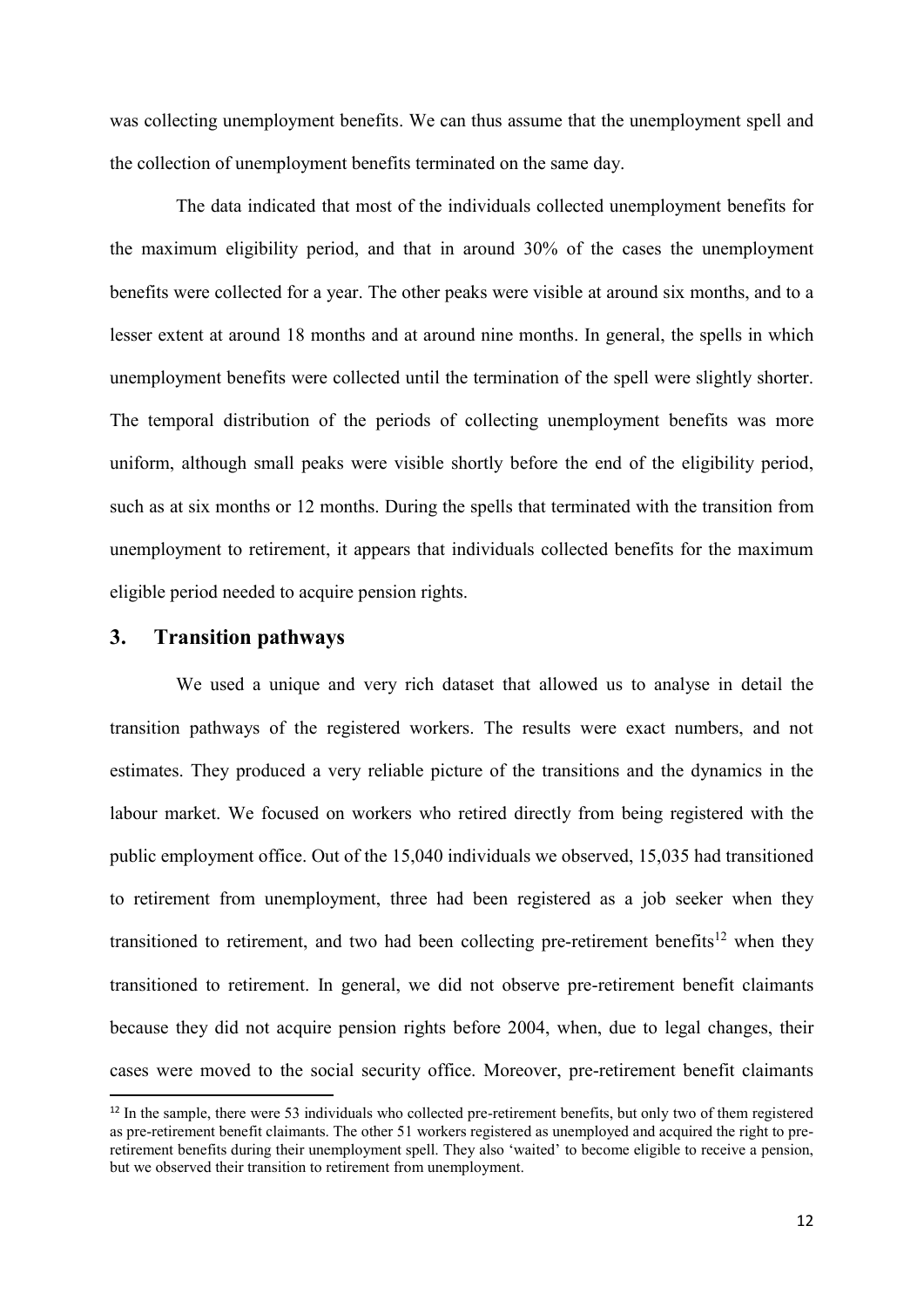was collecting unemployment benefits. We can thus assume that the unemployment spell and the collection of unemployment benefits terminated on the same day.

The data indicated that most of the individuals collected unemployment benefits for the maximum eligibility period, and that in around 30% of the cases the unemployment benefits were collected for a year. The other peaks were visible at around six months, and to a lesser extent at around 18 months and at around nine months. In general, the spells in which unemployment benefits were collected until the termination of the spell were slightly shorter. The temporal distribution of the periods of collecting unemployment benefits was more uniform, although small peaks were visible shortly before the end of the eligibility period, such as at six months or 12 months. During the spells that terminated with the transition from unemployment to retirement, it appears that individuals collected benefits for the maximum eligible period needed to acquire pension rights.

#### **3. Transition pathways**

**.** 

We used a unique and very rich dataset that allowed us to analyse in detail the transition pathways of the registered workers. The results were exact numbers, and not estimates. They produced a very reliable picture of the transitions and the dynamics in the labour market. We focused on workers who retired directly from being registered with the public employment office. Out of the 15,040 individuals we observed, 15,035 had transitioned to retirement from unemployment, three had been registered as a job seeker when they transitioned to retirement, and two had been collecting pre-retirement benefits<sup>12</sup> when they transitioned to retirement. In general, we did not observe pre-retirement benefit claimants because they did not acquire pension rights before 2004, when, due to legal changes, their cases were moved to the social security office. Moreover, pre-retirement benefit claimants

<sup>&</sup>lt;sup>12</sup> In the sample, there were 53 individuals who collected pre-retirement benefits, but only two of them registered as pre-retirement benefit claimants. The other 51 workers registered as unemployed and acquired the right to preretirement benefits during their unemployment spell. They also 'waited' to become eligible to receive a pension, but we observed their transition to retirement from unemployment.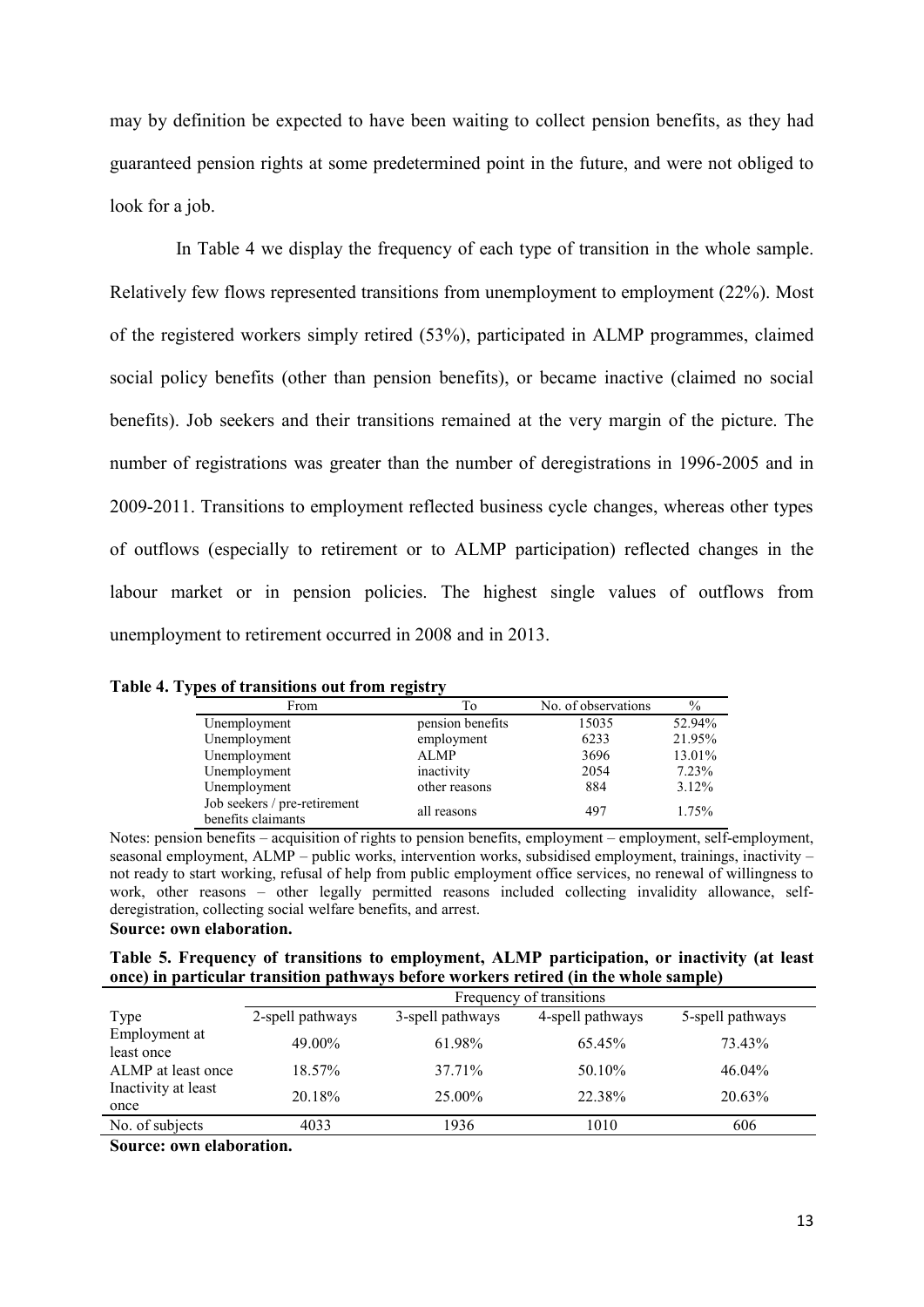may by definition be expected to have been waiting to collect pension benefits, as they had guaranteed pension rights at some predetermined point in the future, and were not obliged to look for a job.

In Table 4 we display the frequency of each type of transition in the whole sample. Relatively few flows represented transitions from unemployment to employment (22%). Most of the registered workers simply retired (53%), participated in ALMP programmes, claimed social policy benefits (other than pension benefits), or became inactive (claimed no social benefits). Job seekers and their transitions remained at the very margin of the picture. The number of registrations was greater than the number of deregistrations in 1996-2005 and in 2009-2011. Transitions to employment reflected business cycle changes, whereas other types of outflows (especially to retirement or to ALMP participation) reflected changes in the labour market or in pension policies. The highest single values of outflows from unemployment to retirement occurred in 2008 and in 2013.

| From                                               | To               | No. of observations | $\%$     |  |  |
|----------------------------------------------------|------------------|---------------------|----------|--|--|
| Unemployment                                       | pension benefits | 15035               | 52.94%   |  |  |
| Unemployment                                       | employment       | 6233                | 21.95%   |  |  |
| Unemployment                                       | <b>ALMP</b>      | 3696                | 13.01%   |  |  |
| Unemployment                                       | inactivity       | 2054                | 7.23%    |  |  |
| Unemployment                                       | other reasons    | 884                 | $3.12\%$ |  |  |
| Job seekers / pre-retirement<br>benefits claimants | all reasons      | 497                 | 1.75%    |  |  |

**Table 4. Types of transitions out from registry**

Notes: pension benefits – acquisition of rights to pension benefits, employment – employment, self-employment, seasonal employment, ALMP – public works, intervention works, subsidised employment, trainings, inactivity – not ready to start working, refusal of help from public employment office services, no renewal of willingness to work, other reasons – other legally permitted reasons included collecting invalidity allowance, selfderegistration, collecting social welfare benefits, and arrest. **Source: own elaboration.**

|  |  |  | Table 5. Frequency of transitions to employment, ALMP participation, or inactivity (at least |  |  |
|--|--|--|----------------------------------------------------------------------------------------------|--|--|
|  |  |  | once) in particular transition pathways before workers retired (in the whole sample)         |  |  |

|                             |                  | Frequency of transitions |                  |                  |  |  |  |
|-----------------------------|------------------|--------------------------|------------------|------------------|--|--|--|
| Type                        | 2-spell pathways | 3-spell pathways         | 4-spell pathways | 5-spell pathways |  |  |  |
| Employment at<br>least once | 49.00%           | 61.98%                   | 65.45%           | 73.43%           |  |  |  |
| ALMP at least once          | 18.57%           | 37.71%                   | 50.10%           | 46.04%           |  |  |  |
| Inactivity at least<br>once | 20.18%           | 25.00%                   | 22.38%           | 20.63%           |  |  |  |
| No. of subjects             | 4033             | 1936                     | 1010             | 606              |  |  |  |

**Source: own elaboration.**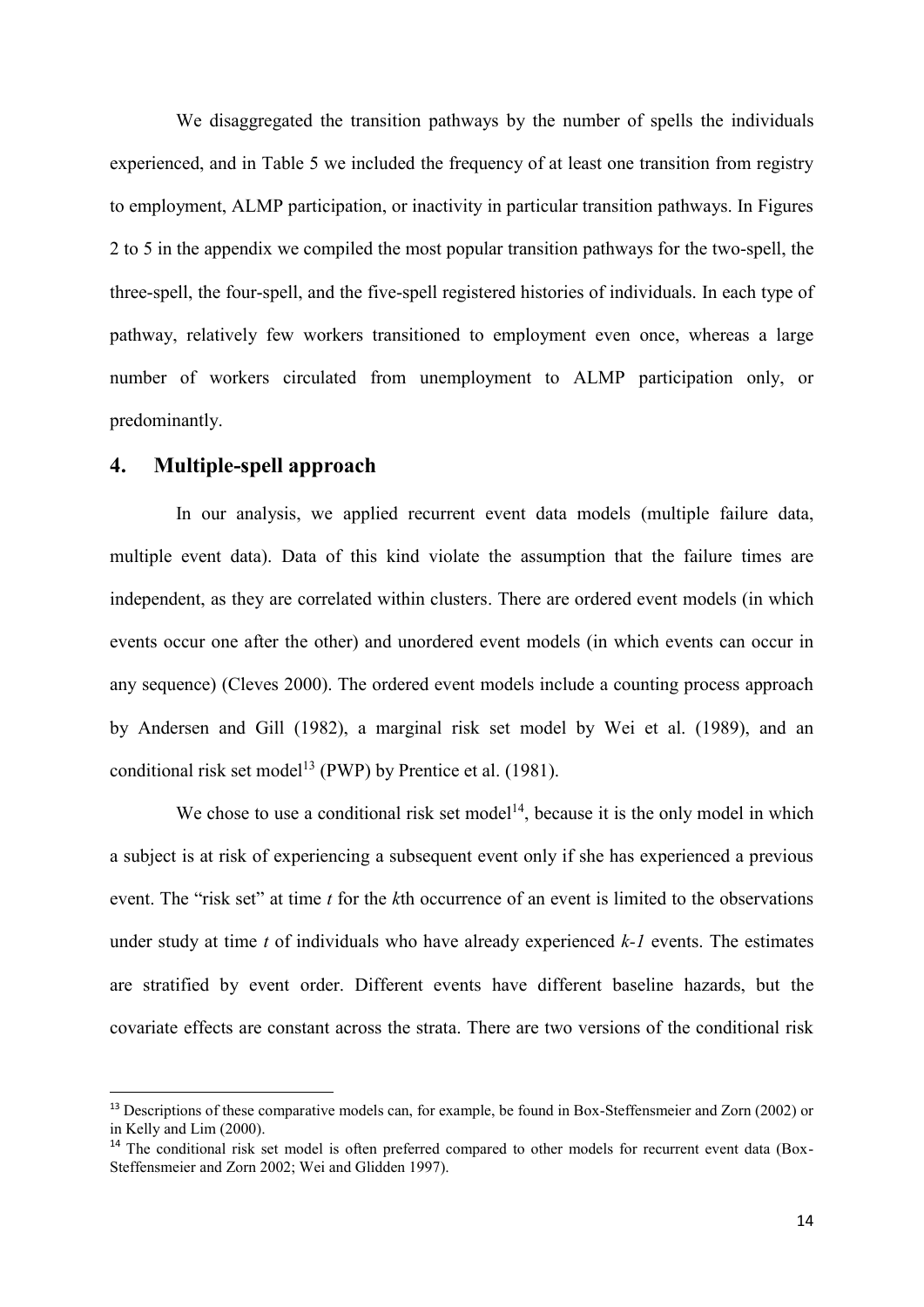We disaggregated the transition pathways by the number of spells the individuals experienced, and in Table 5 we included the frequency of at least one transition from registry to employment, ALMP participation, or inactivity in particular transition pathways. In Figures 2 to 5 in the appendix we compiled the most popular transition pathways for the two-spell, the three-spell, the four-spell, and the five-spell registered histories of individuals. In each type of pathway, relatively few workers transitioned to employment even once, whereas a large number of workers circulated from unemployment to ALMP participation only, or predominantly.

#### **4. Multiple-spell approach**

**.** 

In our analysis, we applied recurrent event data models (multiple failure data, multiple event data). Data of this kind violate the assumption that the failure times are independent, as they are correlated within clusters. There are ordered event models (in which events occur one after the other) and unordered event models (in which events can occur in any sequence) (Cleves 2000). The ordered event models include a counting process approach by Andersen and Gill (1982), a marginal risk set model by Wei et al. (1989), and an conditional risk set model<sup>13</sup> (PWP) by Prentice et al.  $(1981)$ .

We chose to use a conditional risk set model<sup>14</sup>, because it is the only model in which a subject is at risk of experiencing a subsequent event only if she has experienced a previous event. The "risk set" at time *t* for the *k*th occurrence of an event is limited to the observations under study at time *t* of individuals who have already experienced *k-1* events. The estimates are stratified by event order. Different events have different baseline hazards, but the covariate effects are constant across the strata. There are two versions of the conditional risk

<sup>&</sup>lt;sup>13</sup> Descriptions of these comparative models can, for example, be found in Box-Steffensmeier and Zorn (2002) or in Kelly and Lim (2000).

<sup>&</sup>lt;sup>14</sup> The conditional risk set model is often preferred compared to other models for recurrent event data (Box-Steffensmeier and Zorn 2002; Wei and Glidden 1997).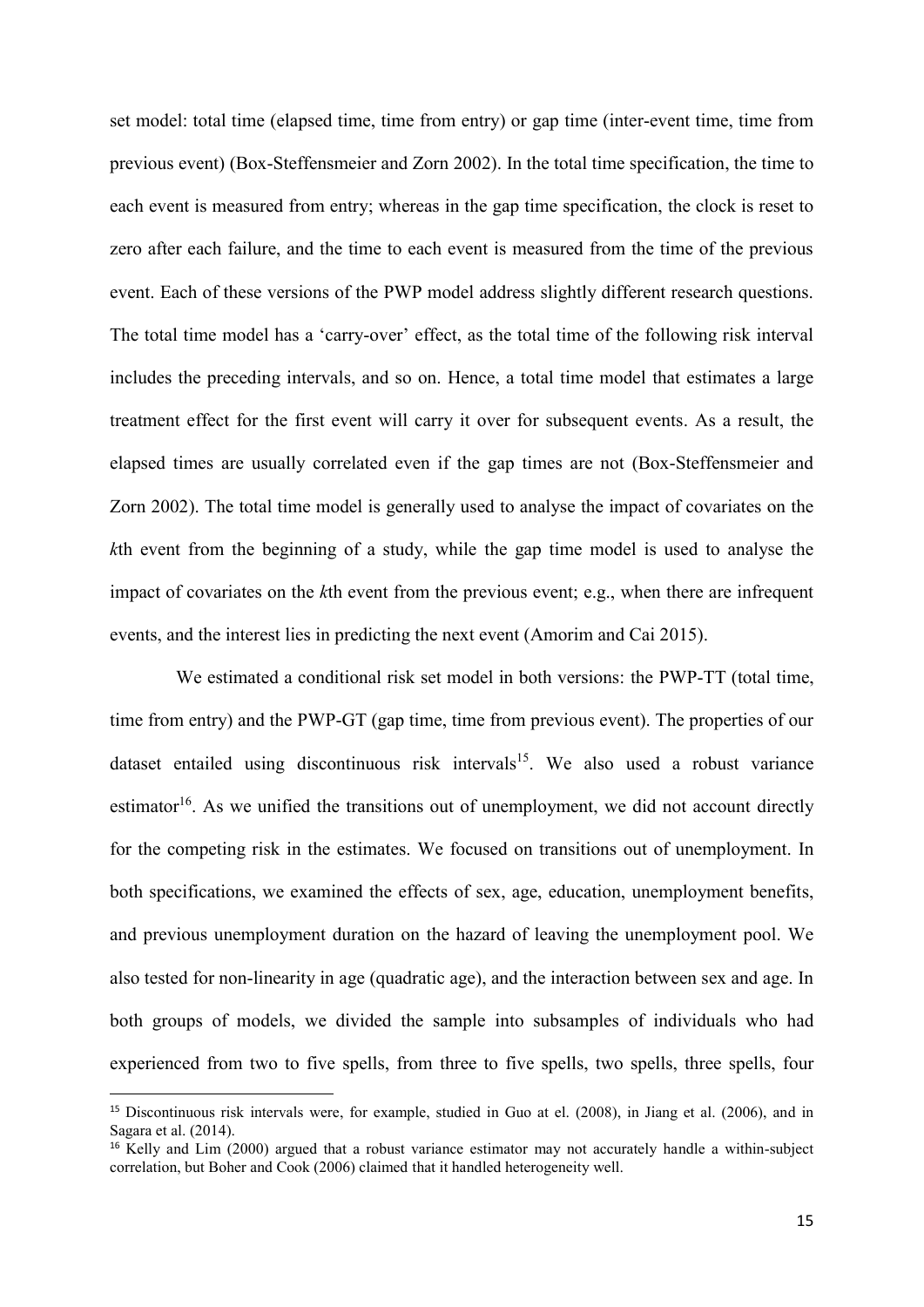set model: total time (elapsed time, time from entry) or gap time (inter-event time, time from previous event) (Box-Steffensmeier and Zorn 2002). In the total time specification, the time to each event is measured from entry; whereas in the gap time specification, the clock is reset to zero after each failure, and the time to each event is measured from the time of the previous event. Each of these versions of the PWP model address slightly different research questions. The total time model has a 'carry-over' effect, as the total time of the following risk interval includes the preceding intervals, and so on. Hence, a total time model that estimates a large treatment effect for the first event will carry it over for subsequent events. As a result, the elapsed times are usually correlated even if the gap times are not (Box-Steffensmeier and Zorn 2002). The total time model is generally used to analyse the impact of covariates on the *k*th event from the beginning of a study, while the gap time model is used to analyse the impact of covariates on the *k*th event from the previous event; e.g., when there are infrequent events, and the interest lies in predicting the next event (Amorim and Cai 2015).

We estimated a conditional risk set model in both versions: the PWP-TT (total time, time from entry) and the PWP-GT (gap time, time from previous event). The properties of our dataset entailed using discontinuous risk intervals<sup>15</sup>. We also used a robust variance estimator<sup>16</sup>. As we unified the transitions out of unemployment, we did not account directly for the competing risk in the estimates. We focused on transitions out of unemployment. In both specifications, we examined the effects of sex, age, education, unemployment benefits, and previous unemployment duration on the hazard of leaving the unemployment pool. We also tested for non-linearity in age (quadratic age), and the interaction between sex and age. In both groups of models, we divided the sample into subsamples of individuals who had experienced from two to five spells, from three to five spells, two spells, three spells, four

1

<sup>15</sup> Discontinuous risk intervals were, for example, studied in Guo at el. (2008), in Jiang et al. (2006), and in Sagara et al. (2014).

<sup>&</sup>lt;sup>16</sup> Kelly and Lim (2000) argued that a robust variance estimator may not accurately handle a within-subject correlation, but Boher and Cook (2006) claimed that it handled heterogeneity well.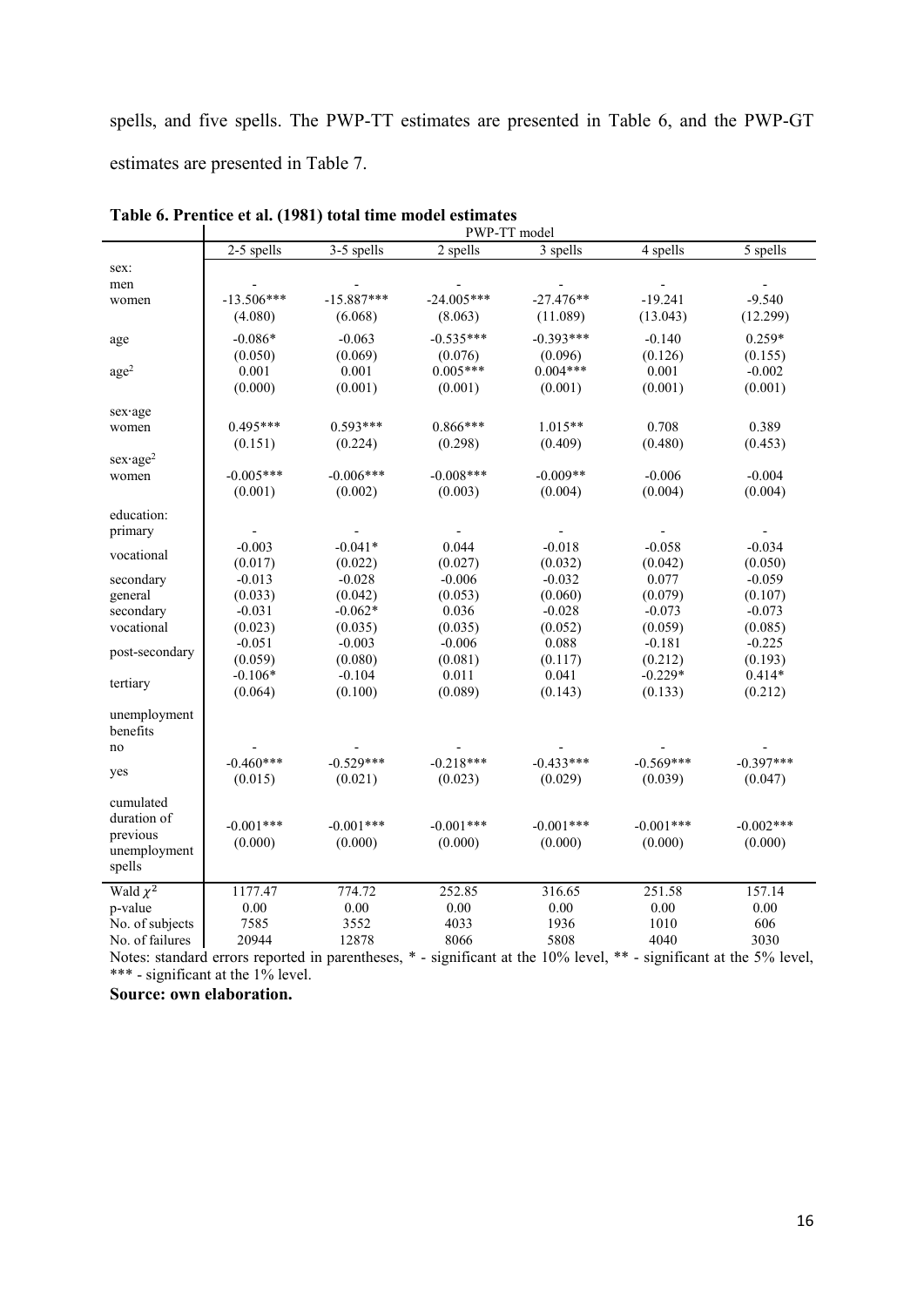spells, and five spells. The PWP-TT estimates are presented in Table 6, and the PWP-GT estimates are presented in Table 7.

|                      |                          |                                                                                                              | PWP-TT model |             |             |             |
|----------------------|--------------------------|--------------------------------------------------------------------------------------------------------------|--------------|-------------|-------------|-------------|
|                      | 2-5 spells               | 3-5 spells                                                                                                   | 2 spells     | 3 spells    | 4 spells    | 5 spells    |
| sex:                 |                          |                                                                                                              |              |             |             |             |
| men                  |                          |                                                                                                              |              |             |             |             |
| women                | $-13.506***$             | $-15.887***$                                                                                                 | $-24.005***$ | $-27.476**$ | $-19.241$   | $-9.540$    |
|                      | (4.080)                  | (6.068)                                                                                                      | (8.063)      | (11.089)    | (13.043)    | (12.299)    |
| age                  | $-0.086*$                | $-0.063$                                                                                                     | $-0.535***$  | $-0.393***$ | $-0.140$    | $0.259*$    |
|                      | (0.050)                  | (0.069)                                                                                                      | (0.076)      | (0.096)     | (0.126)     | (0.155)     |
| age <sup>2</sup>     | 0.001                    | 0.001                                                                                                        | $0.005***$   | $0.004***$  | 0.001       | $-0.002$    |
|                      | (0.000)                  | (0.001)                                                                                                      | (0.001)      | (0.001)     | (0.001)     | (0.001)     |
| sex age              |                          |                                                                                                              |              |             |             |             |
| women                | 0.495***                 | $0.593***$                                                                                                   | $0.866***$   | $1.015**$   | 0.708       | 0.389       |
|                      | (0.151)                  | (0.224)                                                                                                      | (0.298)      | (0.409)     | (0.480)     | (0.453)     |
| $sex \cdot age^2$    |                          |                                                                                                              |              |             |             |             |
| women                | $-0.005***$              | $-0.006***$                                                                                                  | $-0.008***$  | $-0.009**$  | $-0.006$    | $-0.004$    |
|                      | (0.001)                  | (0.002)                                                                                                      | (0.003)      | (0.004)     | (0.004)     | (0.004)     |
| education:           |                          |                                                                                                              |              |             |             |             |
| primary              | $\overline{\phantom{a}}$ |                                                                                                              |              |             |             |             |
|                      | $-0.003$                 | $-0.041*$                                                                                                    | 0.044        | $-0.018$    | $-0.058$    | $-0.034$    |
| vocational           | (0.017)                  | (0.022)                                                                                                      | (0.027)      | (0.032)     | (0.042)     | (0.050)     |
| secondary            | $-0.013$                 | $-0.028$                                                                                                     | $-0.006$     | $-0.032$    | 0.077       | $-0.059$    |
| general              | (0.033)                  | (0.042)                                                                                                      | (0.053)      | (0.060)     | (0.079)     | (0.107)     |
| secondary            | $-0.031$                 | $-0.062*$                                                                                                    | 0.036        | $-0.028$    | $-0.073$    | $-0.073$    |
| vocational           | (0.023)                  | (0.035)                                                                                                      | (0.035)      | (0.052)     | (0.059)     | (0.085)     |
|                      | $-0.051$                 | $-0.003$                                                                                                     | $-0.006$     | 0.088       | $-0.181$    | $-0.225$    |
| post-secondary       | (0.059)                  | (0.080)                                                                                                      | (0.081)      | (0.117)     | (0.212)     | (0.193)     |
|                      | $-0.106*$                | $-0.104$                                                                                                     | 0.011        | 0.041       | $-0.229*$   | $0.414*$    |
| tertiary             | (0.064)                  | (0.100)                                                                                                      | (0.089)      | (0.143)     | (0.133)     | (0.212)     |
| unemployment         |                          |                                                                                                              |              |             |             |             |
| benefits             |                          |                                                                                                              |              |             |             |             |
| no                   |                          |                                                                                                              |              |             |             |             |
|                      | $-0.460***$              | $-0.529***$                                                                                                  | $-0.218***$  | $-0.433***$ | $-0.569***$ | $-0.397***$ |
| yes                  | (0.015)                  | (0.021)                                                                                                      | (0.023)      | (0.029)     | (0.039)     | (0.047)     |
| cumulated            |                          |                                                                                                              |              |             |             |             |
| duration of          |                          |                                                                                                              |              |             |             |             |
| previous             | $-0.001***$              | $-0.001***$                                                                                                  | $-0.001***$  | $-0.001***$ | $-0.001***$ | $-0.002***$ |
| unemployment         | (0.000)                  | (0.000)                                                                                                      | (0.000)      | (0.000)     | (0.000)     | (0.000)     |
| spells               |                          |                                                                                                              |              |             |             |             |
| Wald $\sqrt{\chi^2}$ | 1177.47                  | 774.72                                                                                                       | 252.85       | 316.65      | 251.58      | 157.14      |
| p-value              | 0.00                     | $0.00\,$                                                                                                     | 0.00         | 0.00        | 0.00        | 0.00        |
| No. of subjects      | 7585                     | 3552                                                                                                         | 4033         | 1936        | 1010        | 606         |
| No. of failures      | 20944                    | 12878                                                                                                        | 8066         | 5808        | 4040        | 3030        |
|                      |                          | Notes; standard errors reported in parantheses * significant at the 10% level ** significant at the 5% level |              |             |             |             |

| Table 6. Prentice et al. (1981) total time model estimates |                                                                                                                      |
|------------------------------------------------------------|----------------------------------------------------------------------------------------------------------------------|
|                                                            | $\mathbf{D}$ $\mathbf{M}$ $\mathbf{D}$ $\mathbf{T}$ $\mathbf{T}$ $\mathbf{m}$ $\mathbf{a}$ $\mathbf{a}$ $\mathbf{a}$ |

Notes: standard errors reported in parentheses, \* - significant at the 10% level, \*\* - significant at the 5% level, \*\*\* - significant at the 1% level.

**Source: own elaboration.**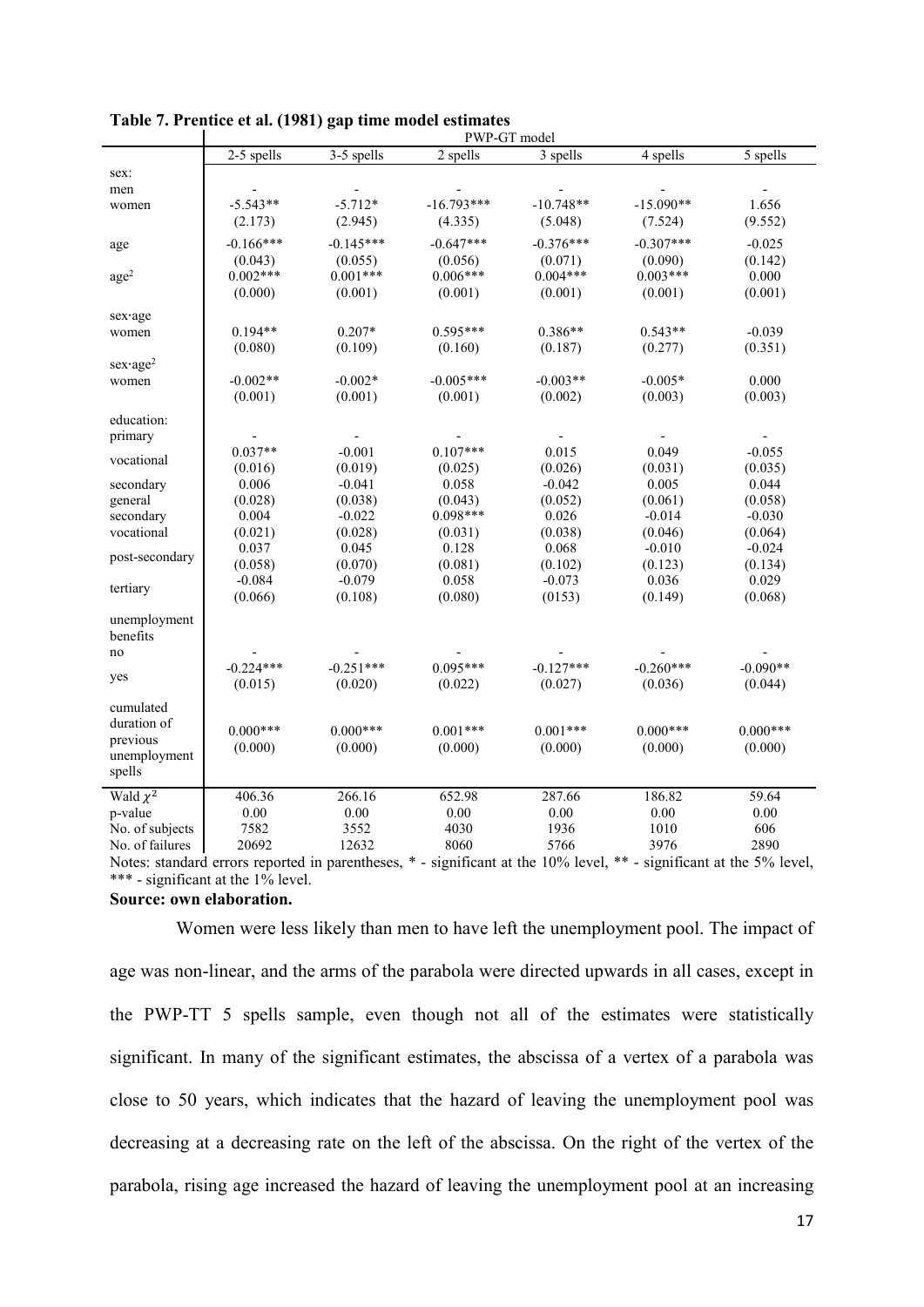|                   |             |             | PWP-GT model   |             |             |            |
|-------------------|-------------|-------------|----------------|-------------|-------------|------------|
|                   | 2-5 spells  | 3-5 spells  | 2 spells       | 3 spells    | 4 spells    | 5 spells   |
| sex:              |             |             |                |             |             |            |
| men               |             |             |                |             |             |            |
| women             | $-5.543**$  | $-5.712*$   | $-16.793***$   | $-10.748**$ | $-15.090**$ | 1.656      |
|                   | (2.173)     | (2.945)     | (4.335)        | (5.048)     | (7.524)     | (9.552)    |
| age               | $-0.166***$ | $-0.145***$ | $-0.647***$    | $-0.376***$ | $-0.307***$ | $-0.025$   |
|                   | (0.043)     | (0.055)     | (0.056)        | (0.071)     | (0.090)     | (0.142)    |
| $\text{age}^2$    | $0.002***$  | $0.001***$  | $0.006***$     | $0.004***$  | $0.003***$  | 0.000      |
|                   | (0.000)     | (0.001)     | (0.001)        | (0.001)     | (0.001)     | (0.001)    |
| sex age           |             |             |                |             |             |            |
| women             | $0.194**$   | $0.207*$    | $0.595***$     | 0.386**     | $0.543**$   | $-0.039$   |
|                   | (0.080)     | (0.109)     | (0.160)        | (0.187)     | (0.277)     | (0.351)    |
| $sex \cdot age^2$ |             |             |                |             |             |            |
| women             | $-0.002**$  | $-0.002*$   | $-0.005***$    | $-0.003**$  | $-0.005*$   | 0.000      |
|                   | (0.001)     | (0.001)     | (0.001)        | (0.002)     | (0.003)     | (0.003)    |
| education:        |             |             |                |             |             |            |
| primary           |             |             |                |             |             |            |
|                   | $0.037**$   | $-0.001$    | $0.107***$     | 0.015       | 0.049       | $-0.055$   |
| vocational        | (0.016)     | (0.019)     | (0.025)        | (0.026)     | (0.031)     | (0.035)    |
| secondary         | 0.006       | $-0.041$    | 0.058          | $-0.042$    | 0.005       | 0.044      |
| general           | (0.028)     | (0.038)     | (0.043)        | (0.052)     | (0.061)     | (0.058)    |
| secondary         | 0.004       | $-0.022$    | $0.098***$     | 0.026       | $-0.014$    | $-0.030$   |
| vocational        | (0.021)     | (0.028)     | (0.031)        | (0.038)     | (0.046)     | (0.064)    |
| post-secondary    | 0.037       | 0.045       | 0.128          | 0.068       | $-0.010$    | $-0.024$   |
|                   | (0.058)     | (0.070)     | (0.081)        | (0.102)     | (0.123)     | (0.134)    |
| tertiary          | $-0.084$    | $-0.079$    | 0.058          | $-0.073$    | 0.036       | 0.029      |
|                   | (0.066)     | (0.108)     | (0.080)        | (0153)      | (0.149)     | (0.068)    |
| unemployment      |             |             |                |             |             |            |
| benefits          |             |             |                |             |             |            |
| no                |             |             |                |             |             |            |
| yes               | $-0.224***$ | $-0.251***$ | $0.095***$     | $-0.127***$ | $-0.260***$ | $-0.090**$ |
|                   | (0.015)     | (0.020)     | (0.022)        | (0.027)     | (0.036)     | (0.044)    |
| cumulated         |             |             |                |             |             |            |
| duration of       | $0.000***$  |             |                |             | $0.000***$  | $0.000***$ |
| previous          |             | $0.000***$  | $0.001***$     | $0.001***$  |             |            |
| unemployment      | (0.000)     | (0.000)     | (0.000)        | (0.000)     | (0.000)     | (0.000)    |
| spells            |             |             |                |             |             |            |
| Wald $\chi^2$     | 406.36      | 266.16      | 652.98         | 287.66      | 186.82      | 59.64      |
| p-value           | $0.00\,$    | 0.00        | 0.00           | $0.00\,$    | 0.00        | 0.00       |
| No. of subjects   | 7582        | 3552        | 4030           | 1936        | 1010        | 606        |
| No. of failures   | 20692       | 12632       | 8060           | 5766        | 3976        | 2890       |
|                   |             |             | $\cdot$ $\sim$ | 100/1       | 1 state     | $F \cap I$ |

| Table 7. Prentice et al. (1981) gap time model estimates |  |  |
|----------------------------------------------------------|--|--|
|----------------------------------------------------------|--|--|

Notes: standard errors reported in parentheses, \* - significant at the 10% level, \*\* - significant at the 5% level, \*\*\* - significant at the 1% level.

**Source: own elaboration.**

Women were less likely than men to have left the unemployment pool. The impact of age was non-linear, and the arms of the parabola were directed upwards in all cases, except in the PWP-TT 5 spells sample, even though not all of the estimates were statistically significant. In many of the significant estimates, the abscissa of a vertex of a parabola was close to 50 years, which indicates that the hazard of leaving the unemployment pool was decreasing at a decreasing rate on the left of the abscissa. On the right of the vertex of the parabola, rising age increased the hazard of leaving the unemployment pool at an increasing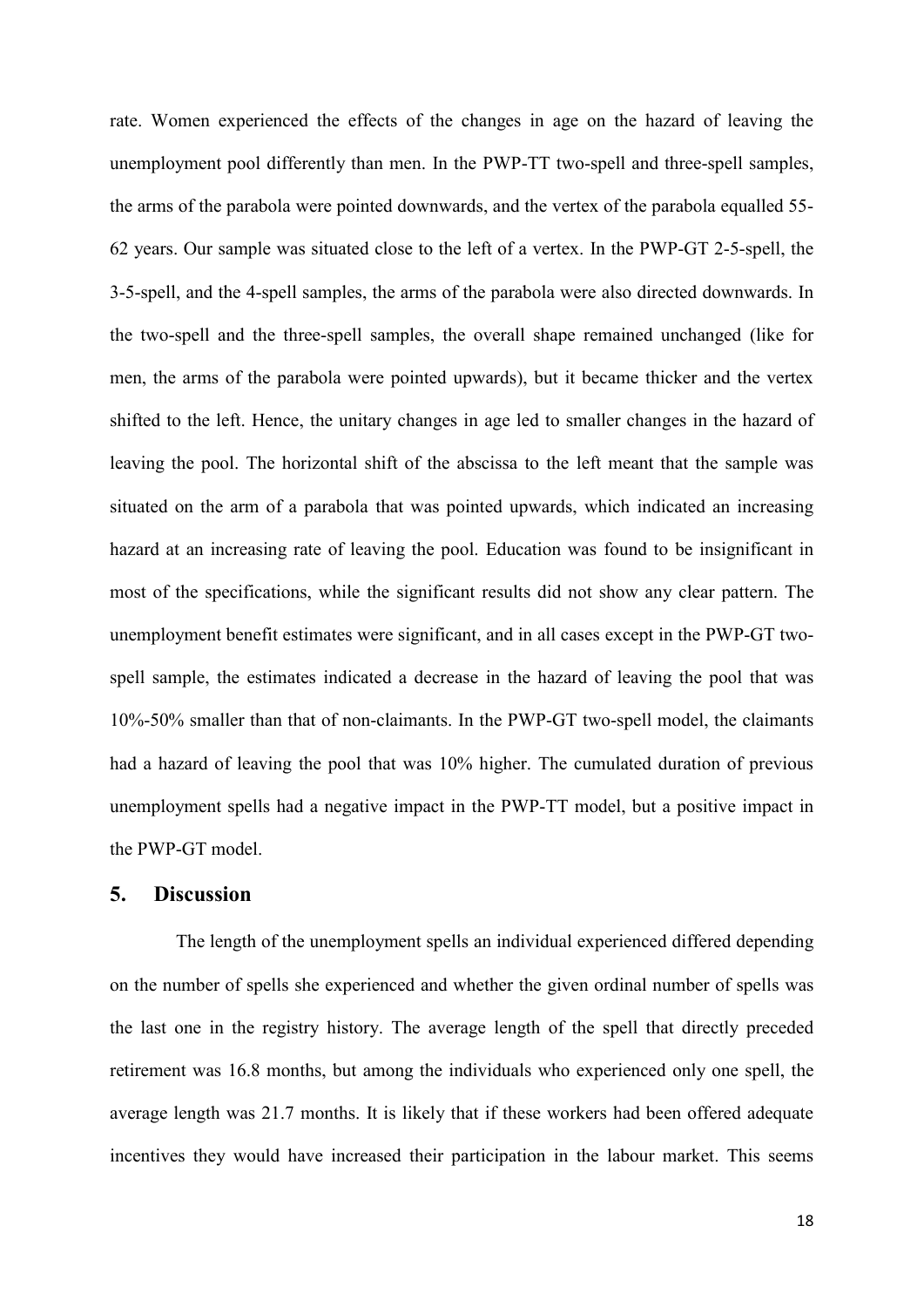rate. Women experienced the effects of the changes in age on the hazard of leaving the unemployment pool differently than men. In the PWP-TT two-spell and three-spell samples, the arms of the parabola were pointed downwards, and the vertex of the parabola equalled 55- 62 years. Our sample was situated close to the left of a vertex. In the PWP-GT 2-5-spell, the 3-5-spell, and the 4-spell samples, the arms of the parabola were also directed downwards. In the two-spell and the three-spell samples, the overall shape remained unchanged (like for men, the arms of the parabola were pointed upwards), but it became thicker and the vertex shifted to the left. Hence, the unitary changes in age led to smaller changes in the hazard of leaving the pool. The horizontal shift of the abscissa to the left meant that the sample was situated on the arm of a parabola that was pointed upwards, which indicated an increasing hazard at an increasing rate of leaving the pool. Education was found to be insignificant in most of the specifications, while the significant results did not show any clear pattern. The unemployment benefit estimates were significant, and in all cases except in the PWP-GT twospell sample, the estimates indicated a decrease in the hazard of leaving the pool that was 10%-50% smaller than that of non-claimants. In the PWP-GT two-spell model, the claimants had a hazard of leaving the pool that was 10% higher. The cumulated duration of previous unemployment spells had a negative impact in the PWP-TT model, but a positive impact in the PWP-GT model.

#### **5. Discussion**

The length of the unemployment spells an individual experienced differed depending on the number of spells she experienced and whether the given ordinal number of spells was the last one in the registry history. The average length of the spell that directly preceded retirement was 16.8 months, but among the individuals who experienced only one spell, the average length was 21.7 months. It is likely that if these workers had been offered adequate incentives they would have increased their participation in the labour market. This seems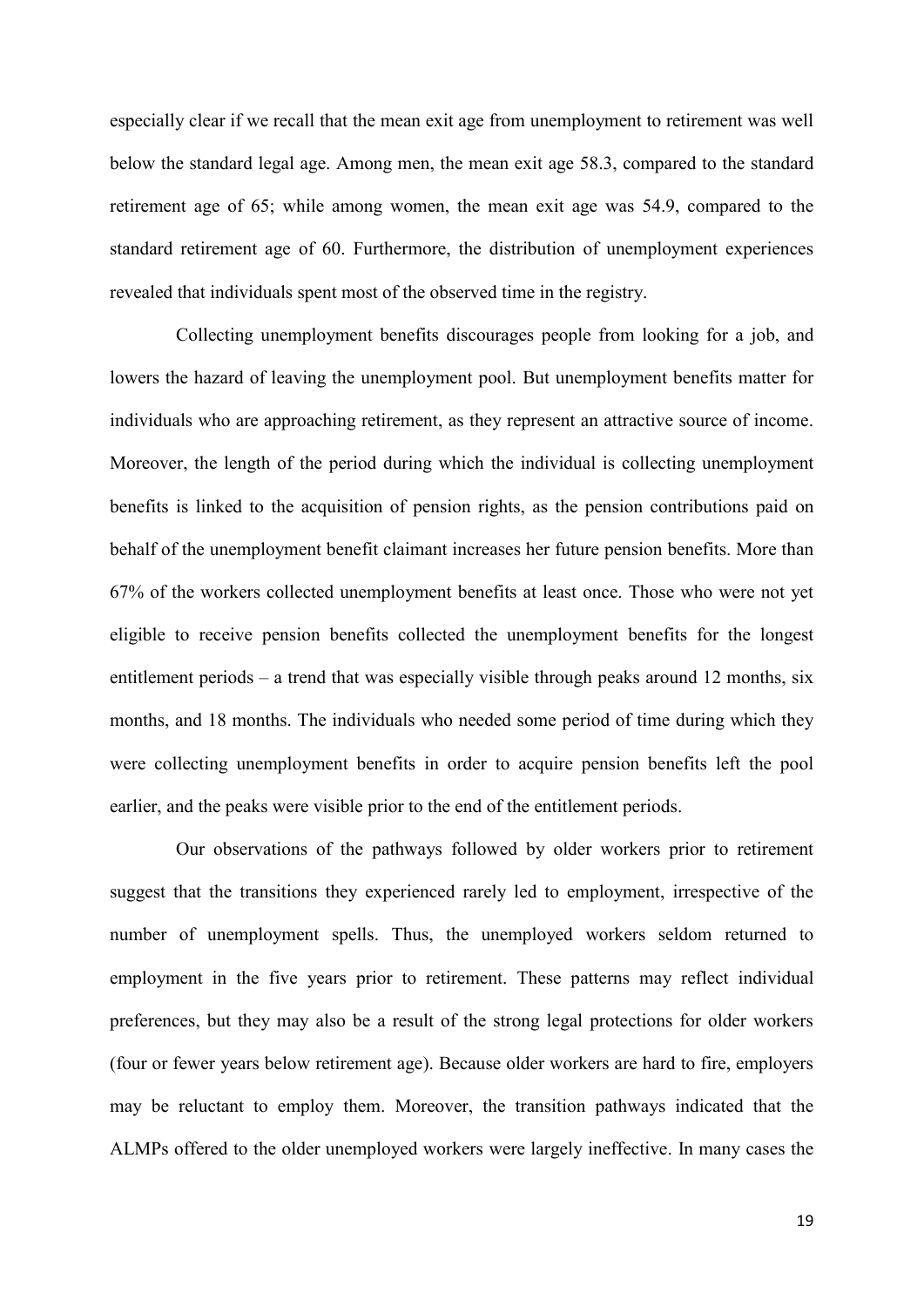especially clear if we recall that the mean exit age from unemployment to retirement was well below the standard legal age. Among men, the mean exit age 58.3, compared to the standard retirement age of 65; while among women, the mean exit age was 54.9, compared to the standard retirement age of 60. Furthermore, the distribution of unemployment experiences revealed that individuals spent most of the observed time in the registry.

Collecting unemployment benefits discourages people from looking for a job, and lowers the hazard of leaving the unemployment pool. But unemployment benefits matter for individuals who are approaching retirement, as they represent an attractive source of income. Moreover, the length of the period during which the individual is collecting unemployment benefits is linked to the acquisition of pension rights, as the pension contributions paid on behalf of the unemployment benefit claimant increases her future pension benefits. More than 67% of the workers collected unemployment benefits at least once. Those who were not yet eligible to receive pension benefits collected the unemployment benefits for the longest entitlement periods – a trend that was especially visible through peaks around 12 months, six months, and 18 months. The individuals who needed some period of time during which they were collecting unemployment benefits in order to acquire pension benefits left the pool earlier, and the peaks were visible prior to the end of the entitlement periods.

Our observations of the pathways followed by older workers prior to retirement suggest that the transitions they experienced rarely led to employment, irrespective of the number of unemployment spells. Thus, the unemployed workers seldom returned to employment in the five years prior to retirement. These patterns may reflect individual preferences, but they may also be a result of the strong legal protections for older workers (four or fewer years below retirement age). Because older workers are hard to fire, employers may be reluctant to employ them. Moreover, the transition pathways indicated that the ALMPs offered to the older unemployed workers were largely ineffective. In many cases the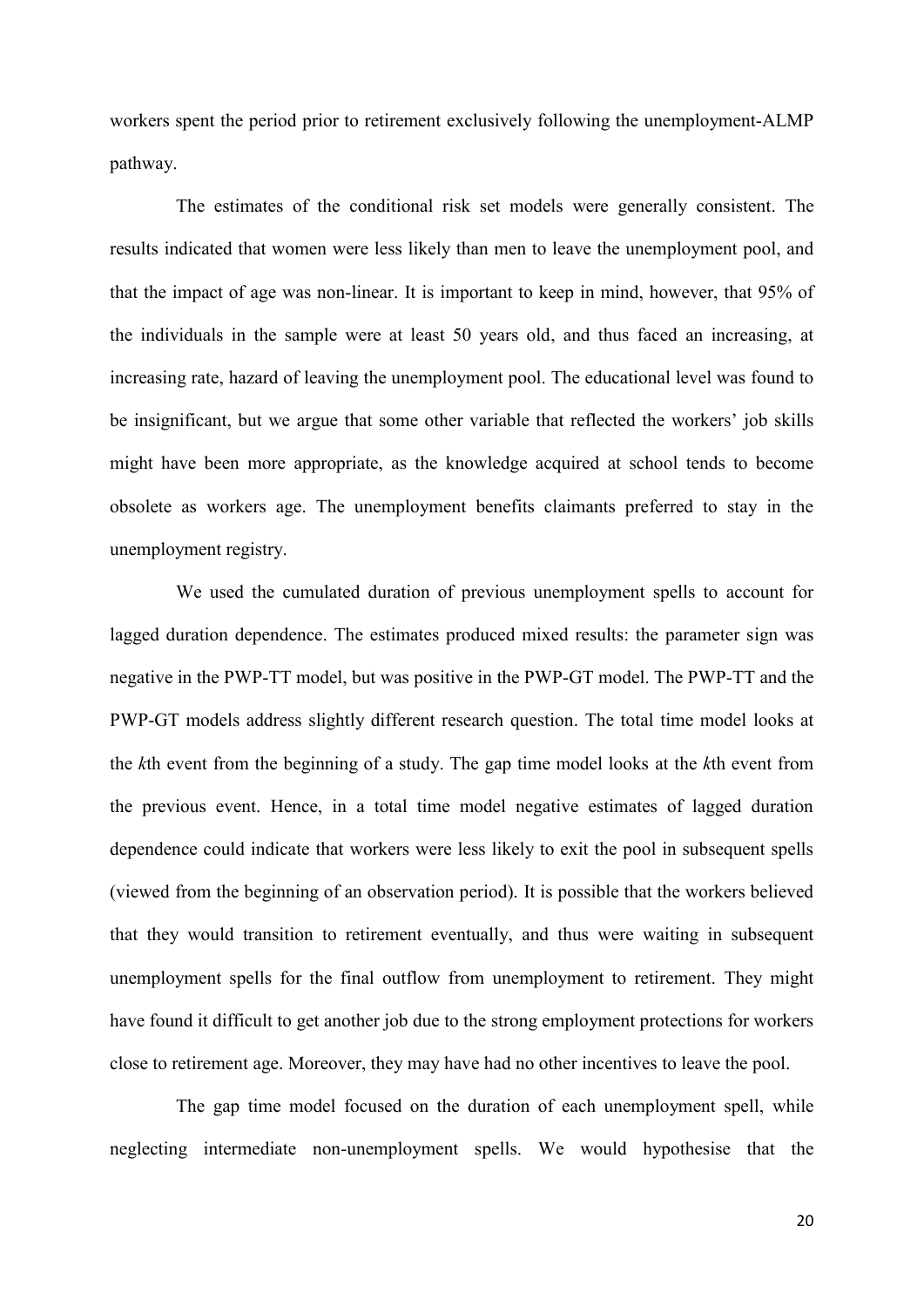workers spent the period prior to retirement exclusively following the unemployment-ALMP pathway.

The estimates of the conditional risk set models were generally consistent. The results indicated that women were less likely than men to leave the unemployment pool, and that the impact of age was non-linear. It is important to keep in mind, however, that 95% of the individuals in the sample were at least 50 years old, and thus faced an increasing, at increasing rate, hazard of leaving the unemployment pool. The educational level was found to be insignificant, but we argue that some other variable that reflected the workers' job skills might have been more appropriate, as the knowledge acquired at school tends to become obsolete as workers age. The unemployment benefits claimants preferred to stay in the unemployment registry.

We used the cumulated duration of previous unemployment spells to account for lagged duration dependence. The estimates produced mixed results: the parameter sign was negative in the PWP-TT model, but was positive in the PWP-GT model. The PWP-TT and the PWP-GT models address slightly different research question. The total time model looks at the *k*th event from the beginning of a study. The gap time model looks at the *k*th event from the previous event. Hence, in a total time model negative estimates of lagged duration dependence could indicate that workers were less likely to exit the pool in subsequent spells (viewed from the beginning of an observation period). It is possible that the workers believed that they would transition to retirement eventually, and thus were waiting in subsequent unemployment spells for the final outflow from unemployment to retirement. They might have found it difficult to get another job due to the strong employment protections for workers close to retirement age. Moreover, they may have had no other incentives to leave the pool.

The gap time model focused on the duration of each unemployment spell, while neglecting intermediate non-unemployment spells. We would hypothesise that the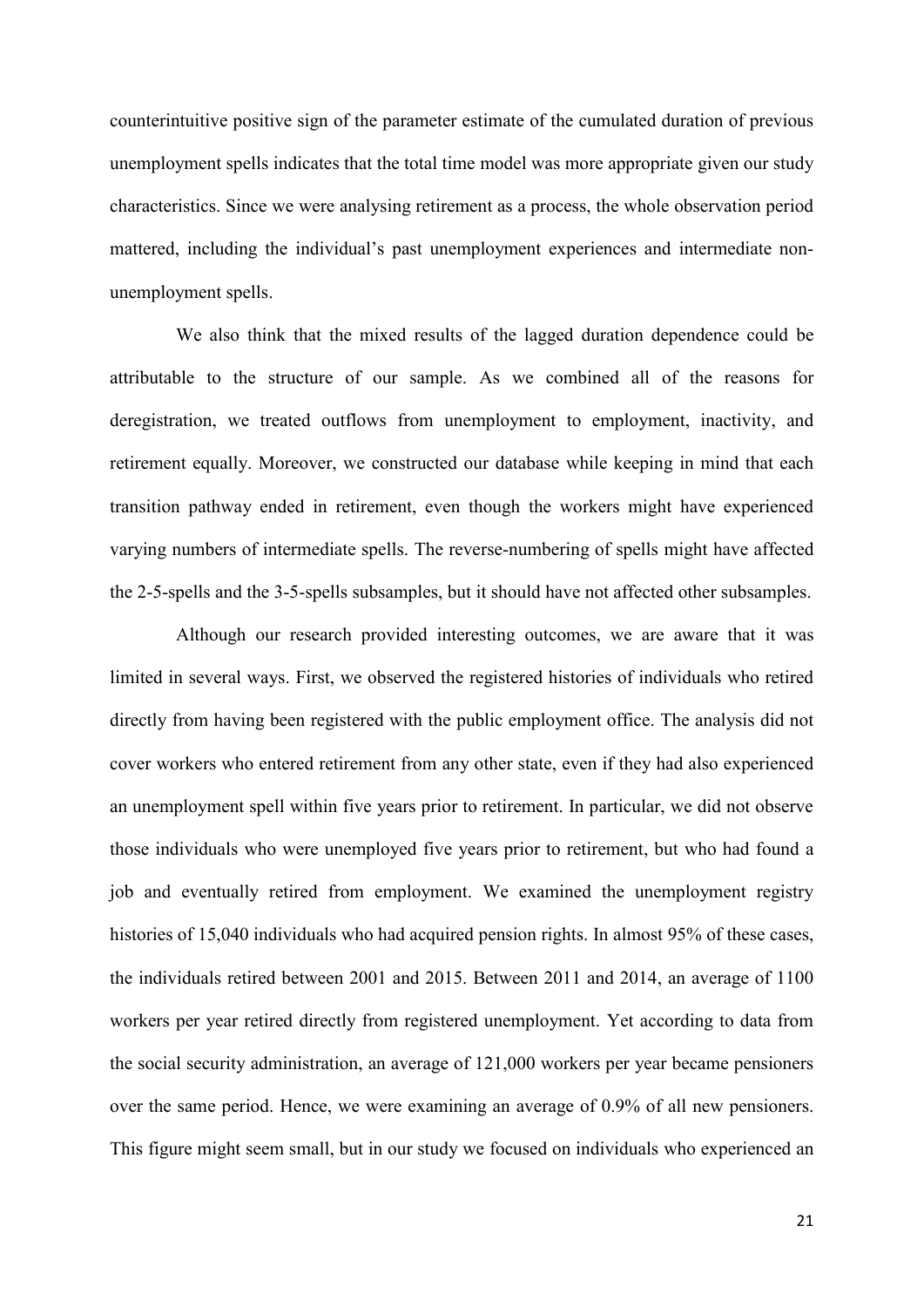counterintuitive positive sign of the parameter estimate of the cumulated duration of previous unemployment spells indicates that the total time model was more appropriate given our study characteristics. Since we were analysing retirement as a process, the whole observation period mattered, including the individual's past unemployment experiences and intermediate nonunemployment spells.

We also think that the mixed results of the lagged duration dependence could be attributable to the structure of our sample. As we combined all of the reasons for deregistration, we treated outflows from unemployment to employment, inactivity, and retirement equally. Moreover, we constructed our database while keeping in mind that each transition pathway ended in retirement, even though the workers might have experienced varying numbers of intermediate spells. The reverse-numbering of spells might have affected the 2-5-spells and the 3-5-spells subsamples, but it should have not affected other subsamples.

Although our research provided interesting outcomes, we are aware that it was limited in several ways. First, we observed the registered histories of individuals who retired directly from having been registered with the public employment office. The analysis did not cover workers who entered retirement from any other state, even if they had also experienced an unemployment spell within five years prior to retirement. In particular, we did not observe those individuals who were unemployed five years prior to retirement, but who had found a job and eventually retired from employment. We examined the unemployment registry histories of 15,040 individuals who had acquired pension rights. In almost 95% of these cases, the individuals retired between 2001 and 2015. Between 2011 and 2014, an average of 1100 workers per year retired directly from registered unemployment. Yet according to data from the social security administration, an average of 121,000 workers per year became pensioners over the same period. Hence, we were examining an average of 0.9% of all new pensioners. This figure might seem small, but in our study we focused on individuals who experienced an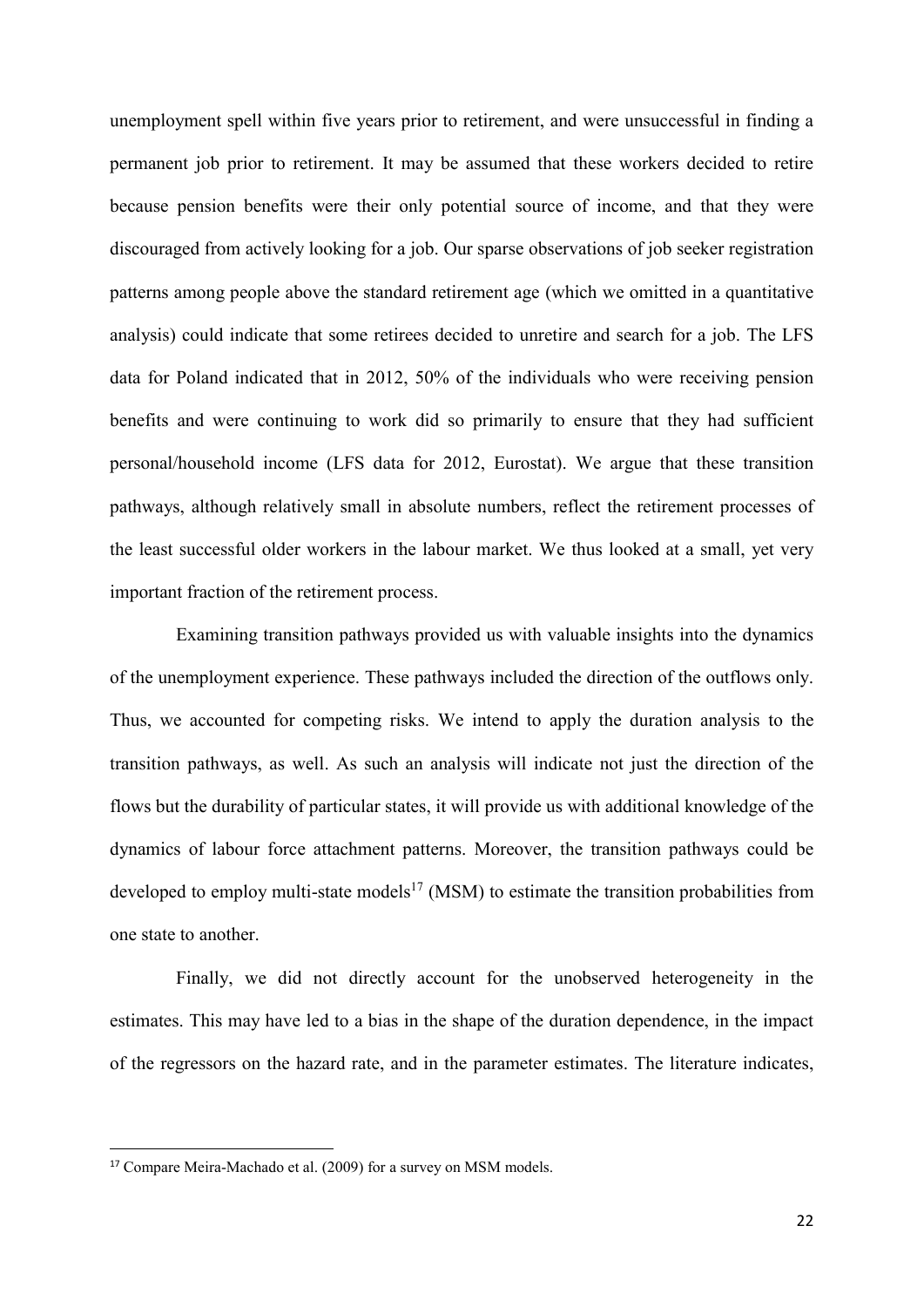unemployment spell within five years prior to retirement, and were unsuccessful in finding a permanent job prior to retirement. It may be assumed that these workers decided to retire because pension benefits were their only potential source of income, and that they were discouraged from actively looking for a job. Our sparse observations of job seeker registration patterns among people above the standard retirement age (which we omitted in a quantitative analysis) could indicate that some retirees decided to unretire and search for a job. The LFS data for Poland indicated that in 2012, 50% of the individuals who were receiving pension benefits and were continuing to work did so primarily to ensure that they had sufficient personal/household income (LFS data for 2012, Eurostat). We argue that these transition pathways, although relatively small in absolute numbers, reflect the retirement processes of the least successful older workers in the labour market. We thus looked at a small, yet very important fraction of the retirement process.

Examining transition pathways provided us with valuable insights into the dynamics of the unemployment experience. These pathways included the direction of the outflows only. Thus, we accounted for competing risks. We intend to apply the duration analysis to the transition pathways, as well. As such an analysis will indicate not just the direction of the flows but the durability of particular states, it will provide us with additional knowledge of the dynamics of labour force attachment patterns. Moreover, the transition pathways could be developed to employ multi-state models<sup>17</sup> (MSM) to estimate the transition probabilities from one state to another.

Finally, we did not directly account for the unobserved heterogeneity in the estimates. This may have led to a bias in the shape of the duration dependence, in the impact of the regressors on the hazard rate, and in the parameter estimates. The literature indicates,

1

<sup>17</sup> Compare Meira-Machado et al. (2009) for a survey on MSM models.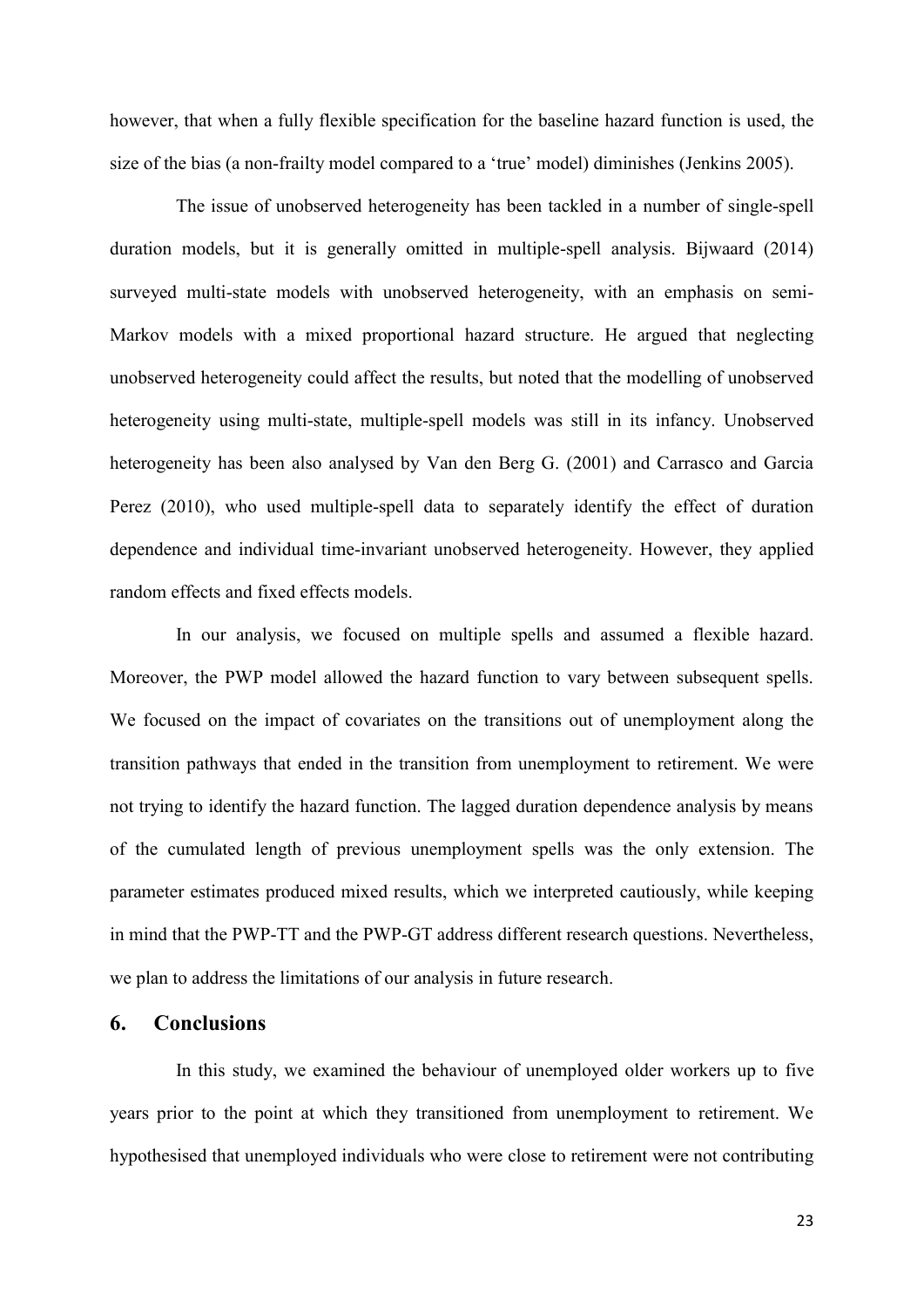however, that when a fully flexible specification for the baseline hazard function is used, the size of the bias (a non-frailty model compared to a 'true' model) diminishes (Jenkins 2005).

The issue of unobserved heterogeneity has been tackled in a number of single-spell duration models, but it is generally omitted in multiple-spell analysis. Bijwaard (2014) surveyed multi-state models with unobserved heterogeneity, with an emphasis on semi-Markov models with a mixed proportional hazard structure. He argued that neglecting unobserved heterogeneity could affect the results, but noted that the modelling of unobserved heterogeneity using multi-state, multiple-spell models was still in its infancy. Unobserved heterogeneity has been also analysed by Van den Berg G. (2001) and Carrasco and Garcia Perez (2010), who used multiple-spell data to separately identify the effect of duration dependence and individual time-invariant unobserved heterogeneity. However, they applied random effects and fixed effects models.

In our analysis, we focused on multiple spells and assumed a flexible hazard. Moreover, the PWP model allowed the hazard function to vary between subsequent spells. We focused on the impact of covariates on the transitions out of unemployment along the transition pathways that ended in the transition from unemployment to retirement. We were not trying to identify the hazard function. The lagged duration dependence analysis by means of the cumulated length of previous unemployment spells was the only extension. The parameter estimates produced mixed results, which we interpreted cautiously, while keeping in mind that the PWP-TT and the PWP-GT address different research questions. Nevertheless, we plan to address the limitations of our analysis in future research.

#### **6. Conclusions**

In this study, we examined the behaviour of unemployed older workers up to five years prior to the point at which they transitioned from unemployment to retirement. We hypothesised that unemployed individuals who were close to retirement were not contributing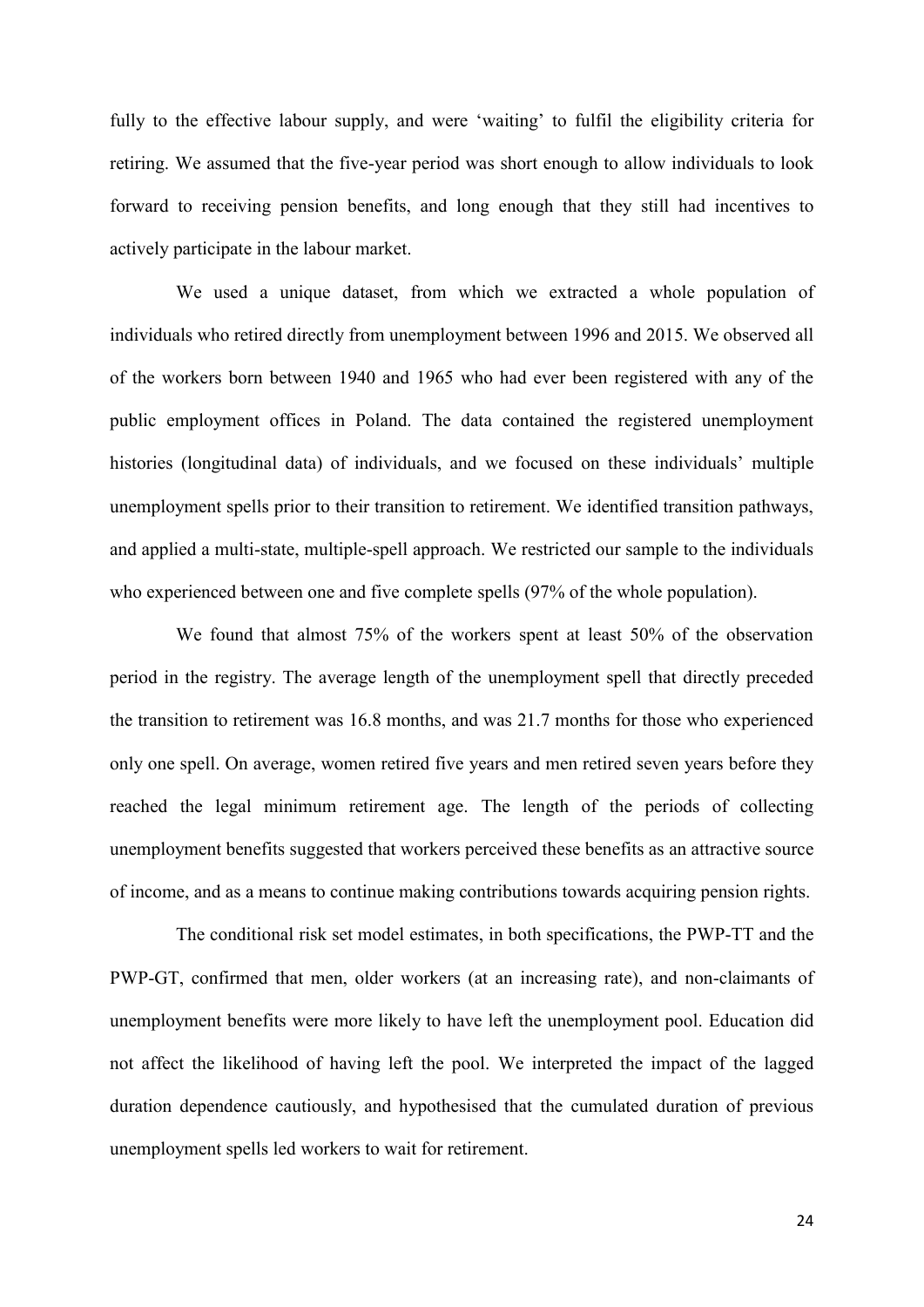fully to the effective labour supply, and were 'waiting' to fulfil the eligibility criteria for retiring. We assumed that the five-year period was short enough to allow individuals to look forward to receiving pension benefits, and long enough that they still had incentives to actively participate in the labour market.

We used a unique dataset, from which we extracted a whole population of individuals who retired directly from unemployment between 1996 and 2015. We observed all of the workers born between 1940 and 1965 who had ever been registered with any of the public employment offices in Poland. The data contained the registered unemployment histories (longitudinal data) of individuals, and we focused on these individuals' multiple unemployment spells prior to their transition to retirement. We identified transition pathways, and applied a multi-state, multiple-spell approach. We restricted our sample to the individuals who experienced between one and five complete spells (97% of the whole population).

We found that almost 75% of the workers spent at least 50% of the observation period in the registry. The average length of the unemployment spell that directly preceded the transition to retirement was 16.8 months, and was 21.7 months for those who experienced only one spell. On average, women retired five years and men retired seven years before they reached the legal minimum retirement age. The length of the periods of collecting unemployment benefits suggested that workers perceived these benefits as an attractive source of income, and as a means to continue making contributions towards acquiring pension rights.

The conditional risk set model estimates, in both specifications, the PWP-TT and the PWP-GT, confirmed that men, older workers (at an increasing rate), and non-claimants of unemployment benefits were more likely to have left the unemployment pool. Education did not affect the likelihood of having left the pool. We interpreted the impact of the lagged duration dependence cautiously, and hypothesised that the cumulated duration of previous unemployment spells led workers to wait for retirement.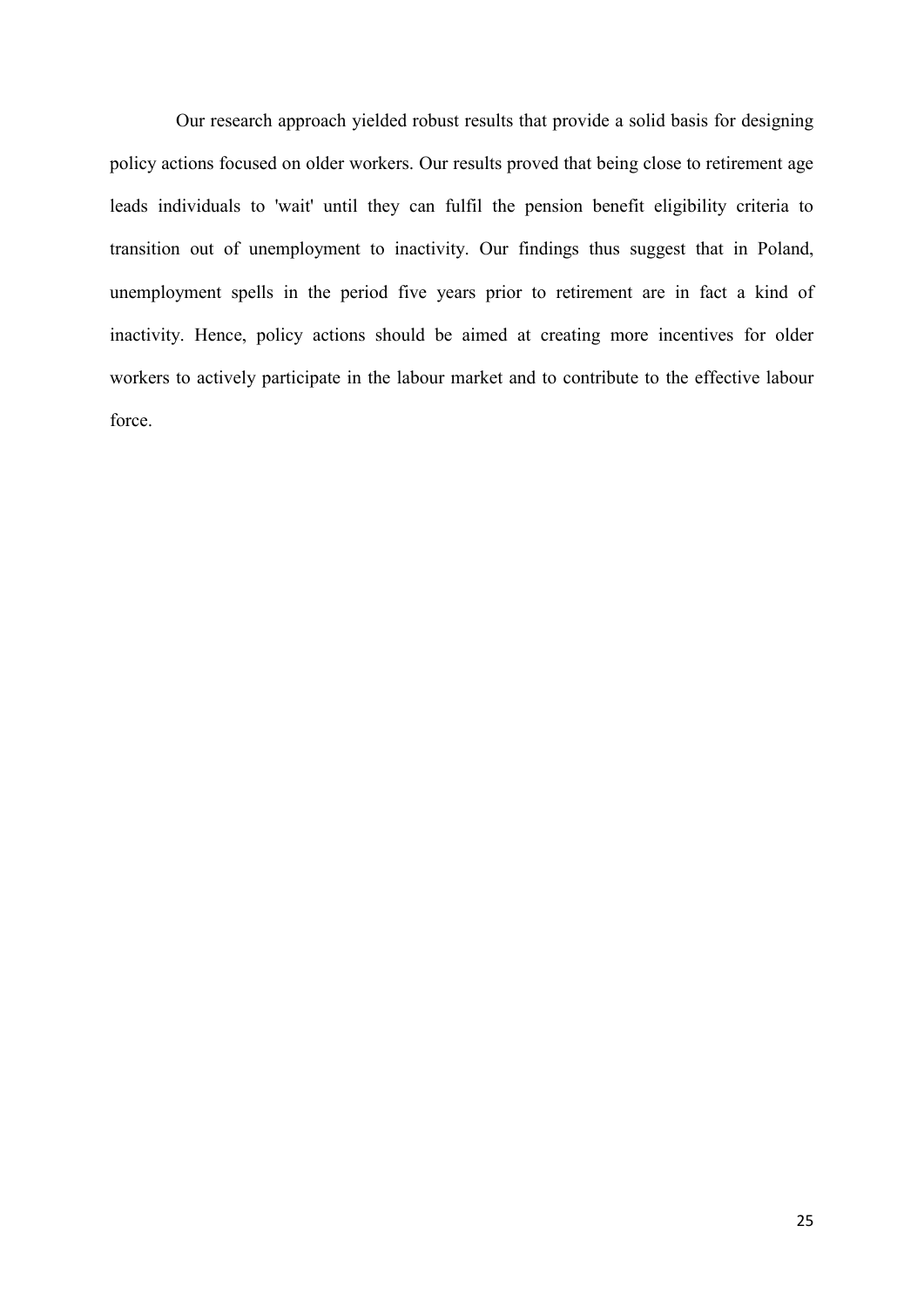Our research approach yielded robust results that provide a solid basis for designing policy actions focused on older workers. Our results proved that being close to retirement age leads individuals to 'wait' until they can fulfil the pension benefit eligibility criteria to transition out of unemployment to inactivity. Our findings thus suggest that in Poland, unemployment spells in the period five years prior to retirement are in fact a kind of inactivity. Hence, policy actions should be aimed at creating more incentives for older workers to actively participate in the labour market and to contribute to the effective labour force.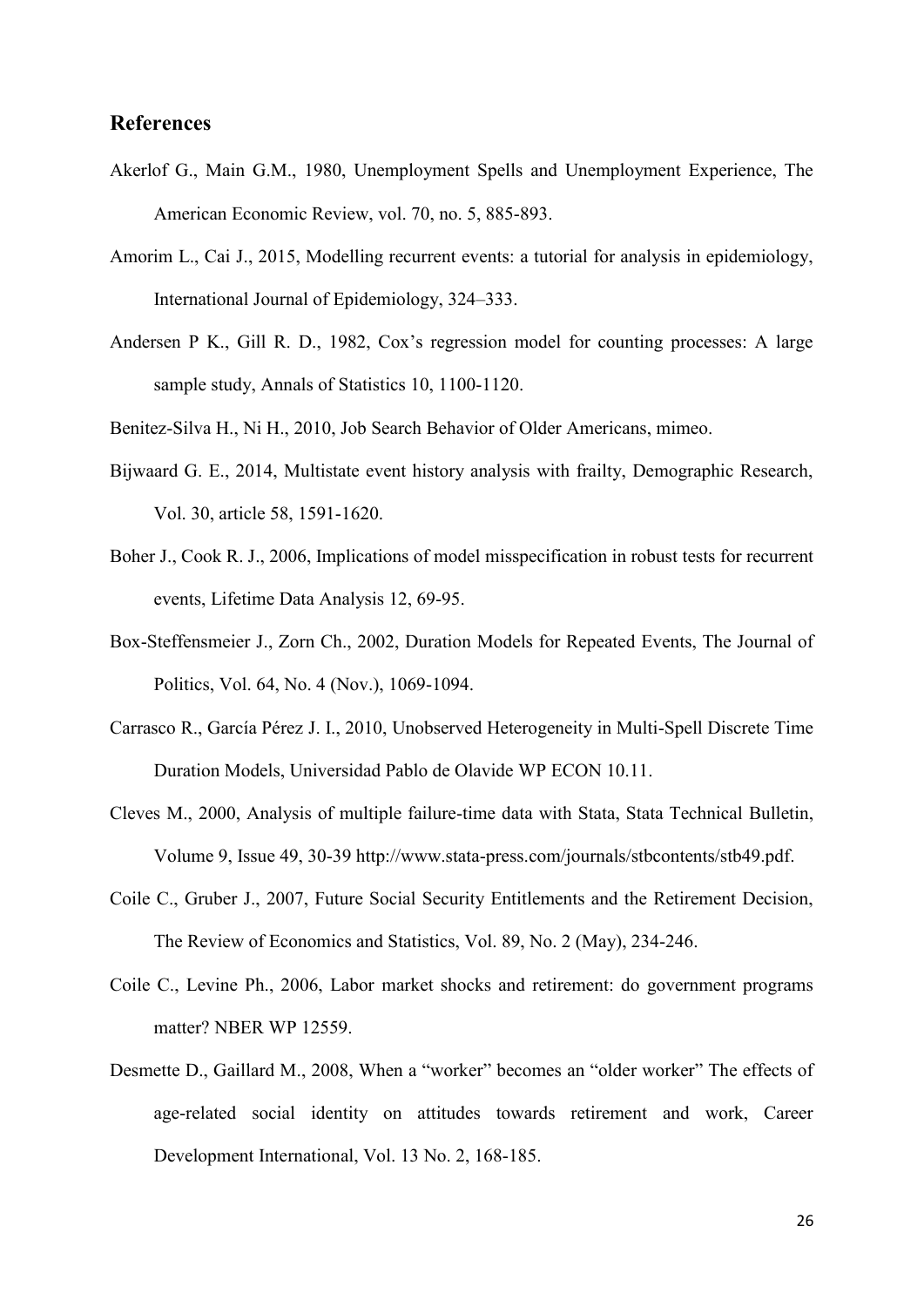#### **References**

- Akerlof G., Main G.M., 1980, Unemployment Spells and Unemployment Experience, The American Economic Review, vol. 70, no. 5, 885-893.
- Amorim L., Cai J., 2015, Modelling recurrent events: a tutorial for analysis in epidemiology, International Journal of Epidemiology, 324–333.
- Andersen P K., Gill R. D., 1982, Cox's regression model for counting processes: A large sample study, Annals of Statistics 10, 1100-1120.
- Benitez-Silva H., Ni H., 2010, Job Search Behavior of Older Americans, mimeo.
- Bijwaard G. E., 2014, Multistate event history analysis with frailty, Demographic Research, Vol. 30, article 58, 1591-1620.
- Boher J., Cook R. J., 2006, Implications of model misspecification in robust tests for recurrent events, Lifetime Data Analysis 12, 69-95.
- Box-Steffensmeier J., Zorn Ch., 2002, Duration Models for Repeated Events, The Journal of Politics, Vol. 64, No. 4 (Nov.), 1069-1094.
- Carrasco R., García Pérez J. I., 2010, Unobserved Heterogeneity in Multi-Spell Discrete Time Duration Models, Universidad Pablo de Olavide WP ECON 10.11.
- Cleves M., 2000, Analysis of multiple failure-time data with Stata, Stata Technical Bulletin, Volume 9, Issue 49, 30-39 http://www.stata-press.com/journals/stbcontents/stb49.pdf.
- Coile C., Gruber J., 2007, Future Social Security Entitlements and the Retirement Decision, The Review of Economics and Statistics, Vol. 89, No. 2 (May), 234-246.
- Coile C., Levine Ph., 2006, Labor market shocks and retirement: do government programs matter? NBER WP 12559.
- Desmette D., Gaillard M., 2008, When a "worker" becomes an "older worker" The effects of age-related social identity on attitudes towards retirement and work, Career Development International, Vol. 13 No. 2, 168-185.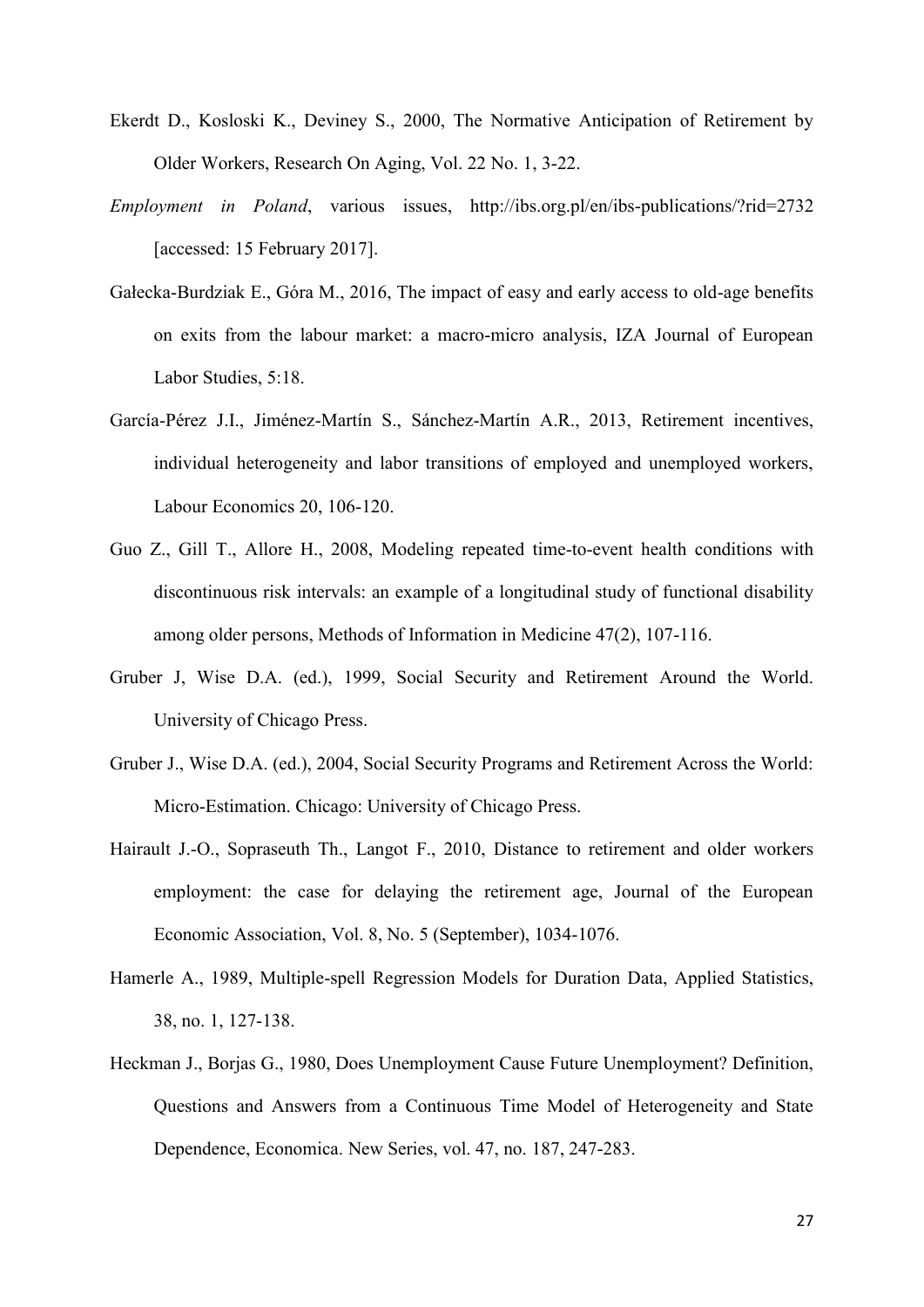- Ekerdt D., Kosloski K., Deviney S., 2000, The Normative Anticipation of Retirement by Older Workers, Research On Aging, Vol. 22 No. 1, 3-22.
- *Employment in Poland*, various issues, http://ibs.org.pl/en/ibs-publications/?rid=2732 [accessed: 15 February 2017].
- Gałecka-Burdziak E., Góra M., 2016, The impact of easy and early access to old-age benefits on exits from the labour market: a macro-micro analysis, IZA Journal of European Labor Studies, 5:18.
- García-Pérez J.I., Jiménez-Martín S., Sánchez-Martín A.R., 2013, Retirement incentives, individual heterogeneity and labor transitions of employed and unemployed workers, Labour Economics 20, 106-120.
- Guo Z., Gill T., Allore H., 2008, Modeling repeated time-to-event health conditions with discontinuous risk intervals: an example of a longitudinal study of functional disability among older persons, Methods of Information in Medicine 47(2), 107-116.
- Gruber J, Wise D.A. (ed.), 1999, Social Security and Retirement Around the World. University of Chicago Press.
- Gruber J., Wise D.A. (ed.), 2004, Social Security Programs and Retirement Across the World: Micro-Estimation. Chicago: University of Chicago Press.
- Hairault J.-O., Sopraseuth Th., Langot F., 2010, Distance to retirement and older workers employment: the case for delaying the retirement age, Journal of the European Economic Association, Vol. 8, No. 5 (September), 1034-1076.
- Hamerle A., 1989, Multiple-spell Regression Models for Duration Data, Applied Statistics, 38, no. 1, 127-138.
- Heckman J., Borjas G., 1980, Does Unemployment Cause Future Unemployment? Definition, Questions and Answers from a Continuous Time Model of Heterogeneity and State Dependence, Economica. New Series, vol. 47, no. 187, 247-283.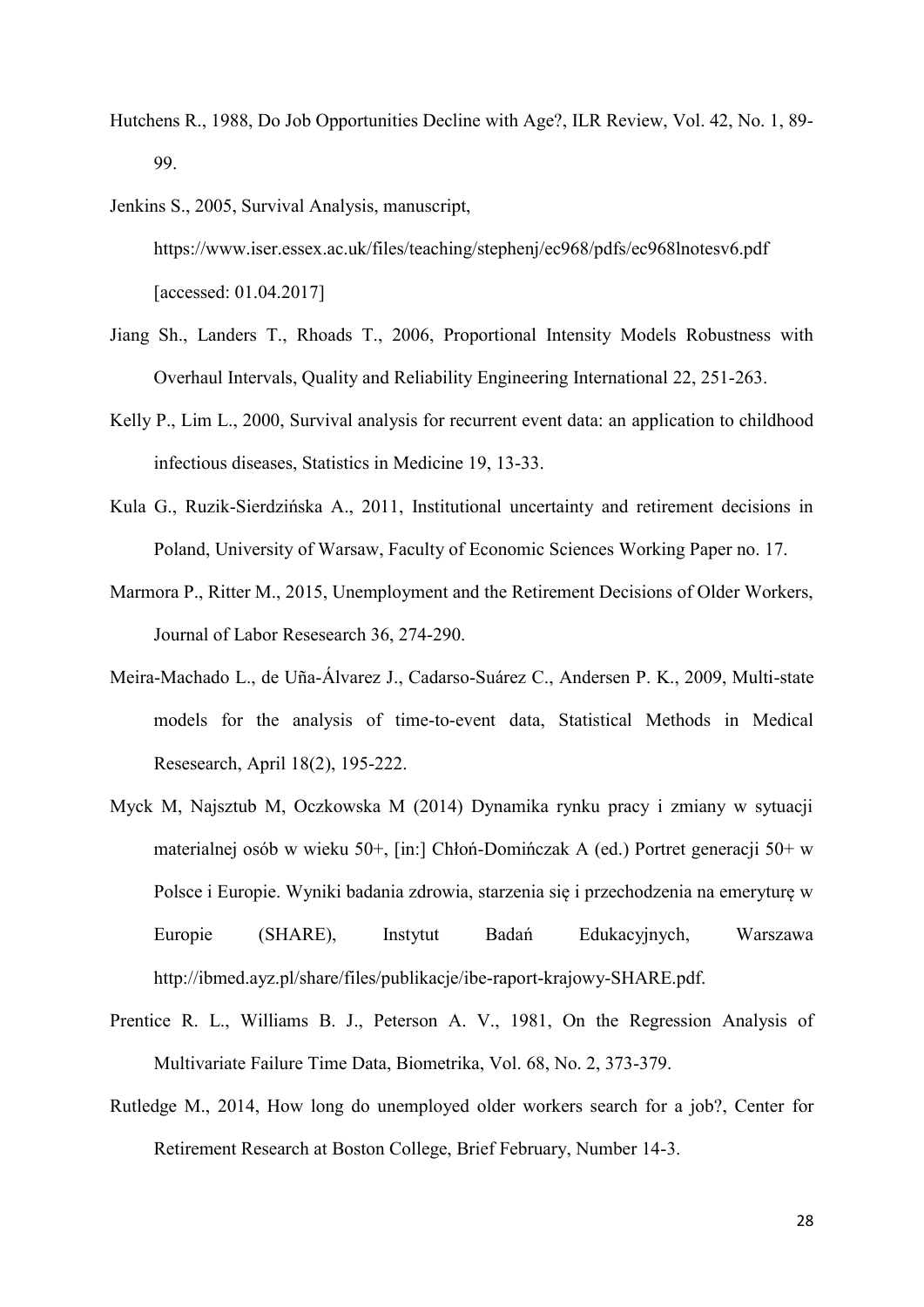- Hutchens R., 1988, Do Job Opportunities Decline with Age?, ILR Review, Vol. 42, No. 1, 89- 99.
- Jenkins S., 2005, Survival Analysis, manuscript, https://www.iser.essex.ac.uk/files/teaching/stephenj/ec968/pdfs/ec968lnotesv6.pdf [accessed: 01.04.2017]
- Jiang Sh., Landers T., Rhoads T., 2006, Proportional Intensity Models Robustness with Overhaul Intervals, Quality and Reliability Engineering International 22, 251-263.
- Kelly P., Lim L., 2000, Survival analysis for recurrent event data: an application to childhood infectious diseases, Statistics in Medicine 19, 13-33.
- Kula G., Ruzik-Sierdzińska A., 2011, Institutional uncertainty and retirement decisions in Poland, University of Warsaw, Faculty of Economic Sciences Working Paper no. 17.
- Marmora P., Ritter M., 2015, Unemployment and the Retirement Decisions of Older Workers, Journal of Labor Resesearch 36, 274-290.
- Meira-Machado L., de Uña-Álvarez J., Cadarso-Suárez C., Andersen P. K., 2009, Multi-state models for the analysis of time-to-event data, Statistical Methods in Medical Resesearch, April 18(2), 195-222.
- Myck M, Najsztub M, Oczkowska M (2014) Dynamika rynku pracy i zmiany w sytuacji materialnej osób w wieku 50+, [in:] Chłoń-Domińczak A (ed.) Portret generacji 50+ w Polsce i Europie. Wyniki badania zdrowia, starzenia się i przechodzenia na emeryturę w Europie (SHARE), Instytut Badań Edukacyjnych, Warszawa http://ibmed.ayz.pl/share/files/publikacje/ibe-raport-krajowy-SHARE.pdf.
- Prentice R. L., Williams B. J., Peterson A. V., 1981, On the Regression Analysis of Multivariate Failure Time Data, Biometrika, Vol. 68, No. 2, 373-379.
- Rutledge M., 2014, How long do unemployed older workers search for a job?, Center for Retirement Research at Boston College, Brief February, Number 14-3.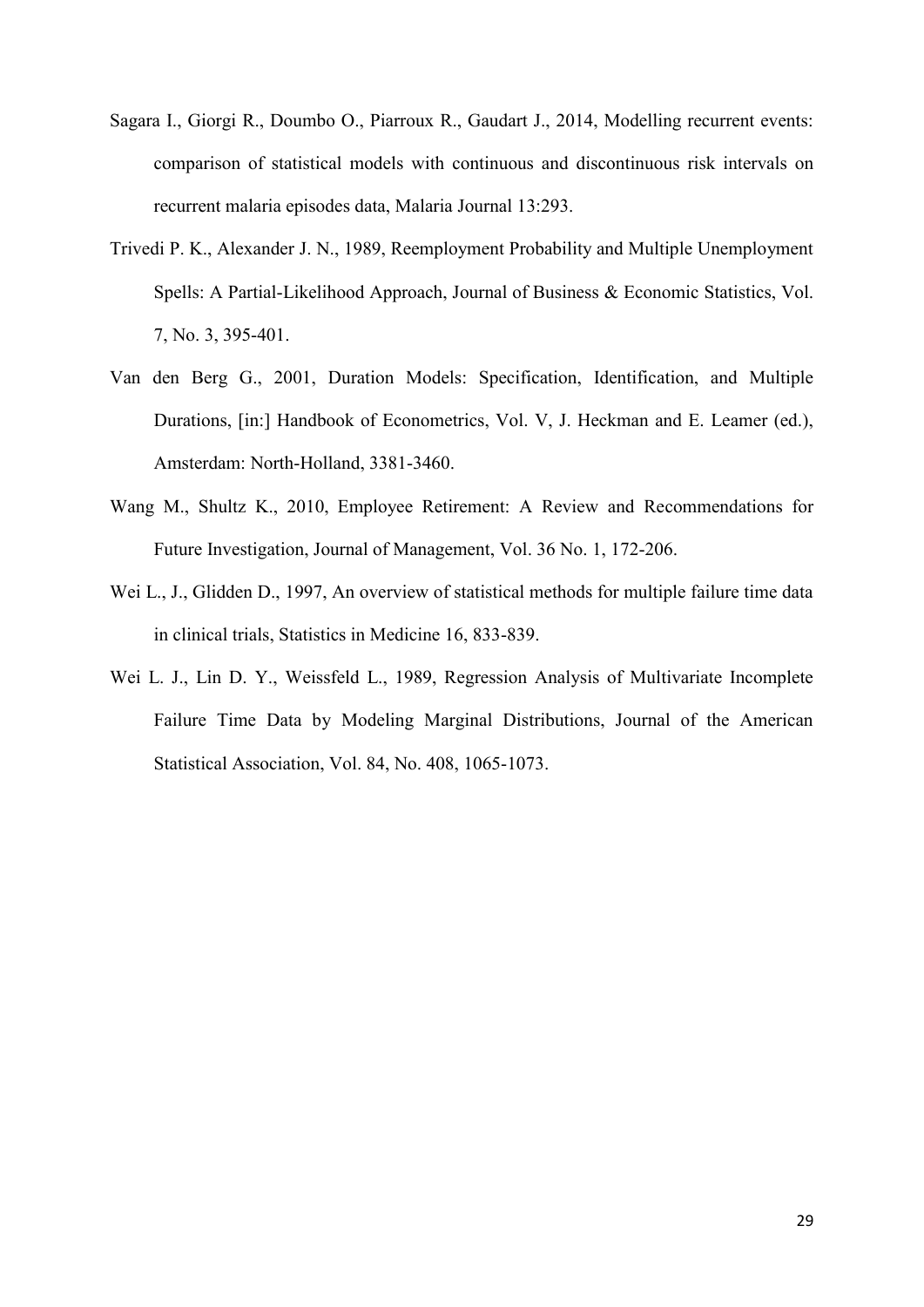- Sagara I., Giorgi R., Doumbo O., Piarroux R., Gaudart J., 2014, Modelling recurrent events: comparison of statistical models with continuous and discontinuous risk intervals on recurrent malaria episodes data, Malaria Journal 13:293.
- Trivedi P. K., Alexander J. N., 1989, Reemployment Probability and Multiple Unemployment Spells: A Partial-Likelihood Approach, Journal of Business & Economic Statistics, Vol. 7, No. 3, 395-401.
- Van den Berg G., 2001, Duration Models: Specification, Identification, and Multiple Durations, [in:] Handbook of Econometrics, Vol. V, J. Heckman and E. Leamer (ed.), Amsterdam: North-Holland, 3381-3460.
- Wang M., Shultz K., 2010, Employee Retirement: A Review and Recommendations for Future Investigation, Journal of Management, Vol. 36 No. 1, 172-206.
- Wei L., J., Glidden D., 1997, An overview of statistical methods for multiple failure time data in clinical trials, Statistics in Medicine 16, 833-839.
- Wei L. J., Lin D. Y., Weissfeld L., 1989, Regression Analysis of Multivariate Incomplete Failure Time Data by Modeling Marginal Distributions, Journal of the American Statistical Association, Vol. 84, No. 408, 1065-1073.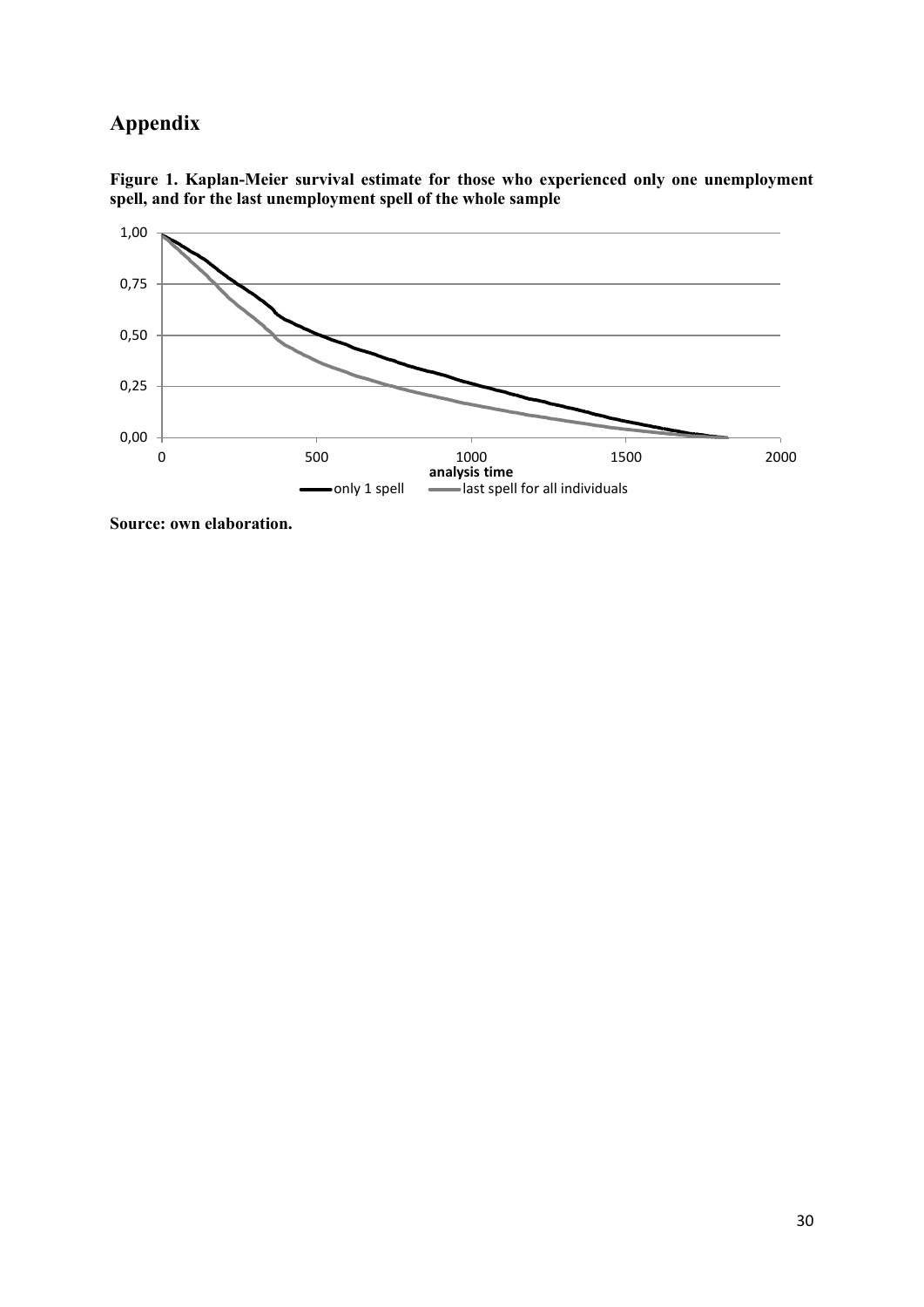### **Appendix**



**Figure 1. Kaplan-Meier survival estimate for those who experienced only one unemployment spell, and for the last unemployment spell of the whole sample**

**Source: own elaboration.**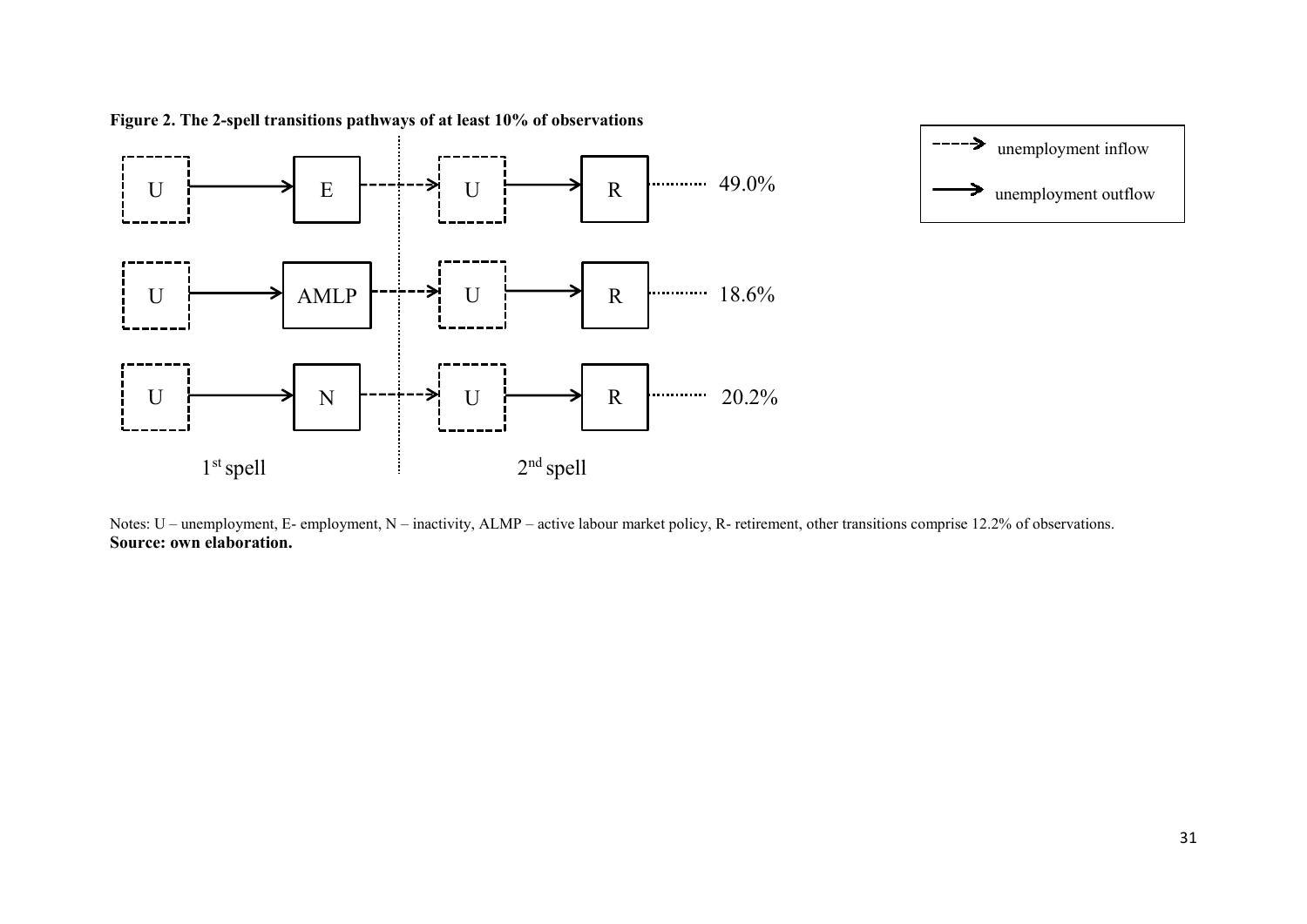

**Figure 2. The 2-spell transitions pathways of at least 10% of observations**

Notes: U – unemployment, E- employment, N – inactivity, ALMP – active labour market policy, R- retirement, other transitions comprise 12.2% of observations. **Source: own elaboration.**

unemployment inflow

-----→

7

unemployment outflow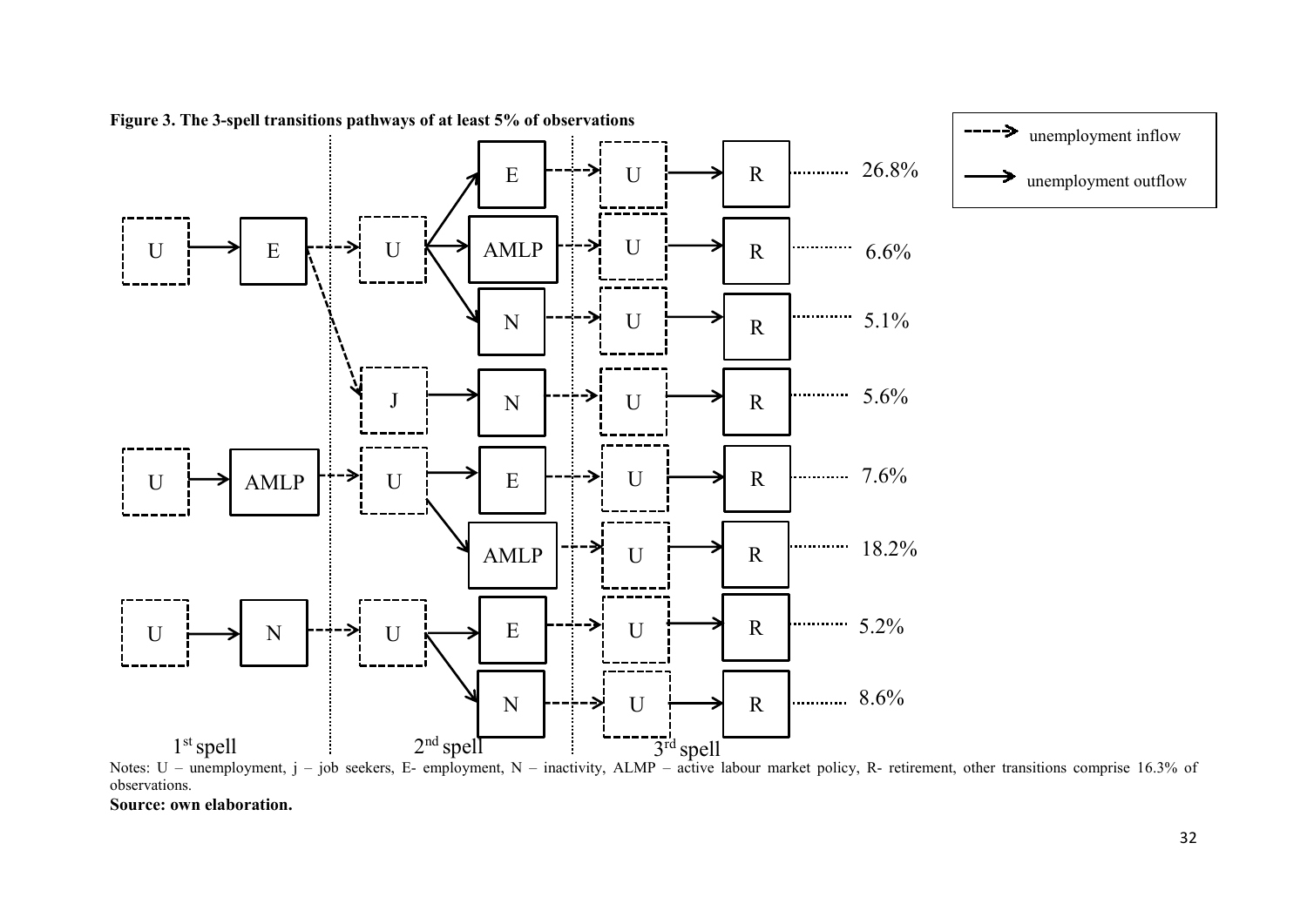

**Figure 3. The 3-spell transitions pathways of at least 5% of observations**

Notes: U – unemployment, j – job seekers, E- employment, N – inactivity, ALMP – active labour market policy, R- retirement, other transitions comprise 16.3% of observations.

**Source: own elaboration.**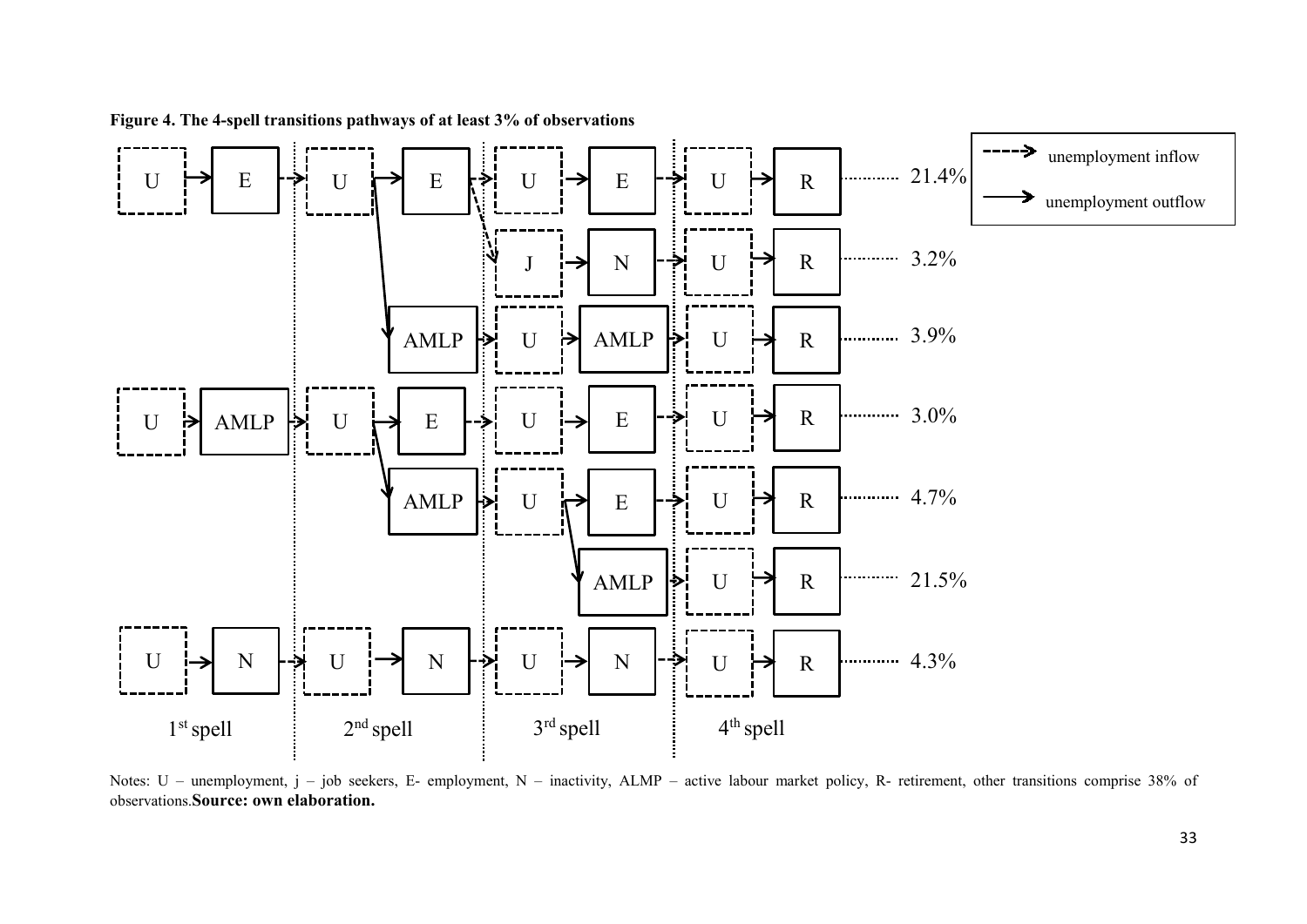

**Figure 4. The 4-spell transitions pathways of at least 3% of observations**

Notes: U – unemployment, j – job seekers, E- employment, N – inactivity, ALMP – active labour market policy, R- retirement, other transitions comprise 38% of observations.**Source: own elaboration.**